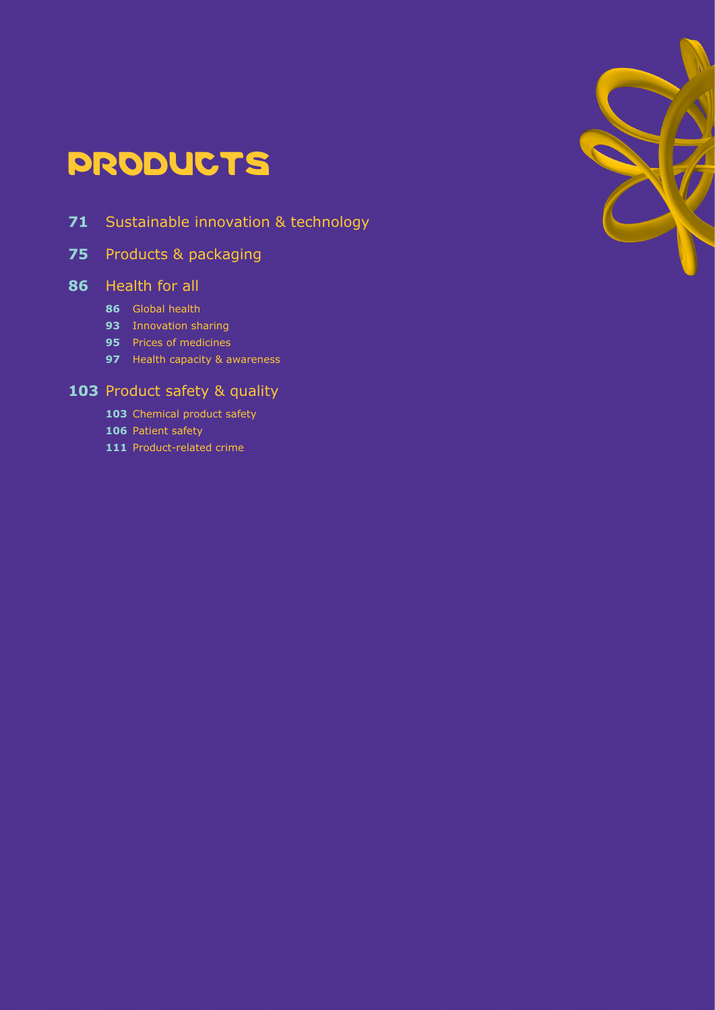

# PRODUCTS

[Sustainable innovation & technology](#page-70-0)

# [Products & packaging](#page-74-0)

### [Health for all](#page-85-0)

- [Global health](#page-85-1)
- [Innovation sharing](#page-92-0)
- [Prices of medicines](#page-94-0)
- [Health capacity & awareness](#page-96-0)

# [Product safety & quality](#page-102-0)

- [Chemical product safety](#page-102-1)
- [Patient safety](#page-105-0)
- [Product-related crime](#page-110-0)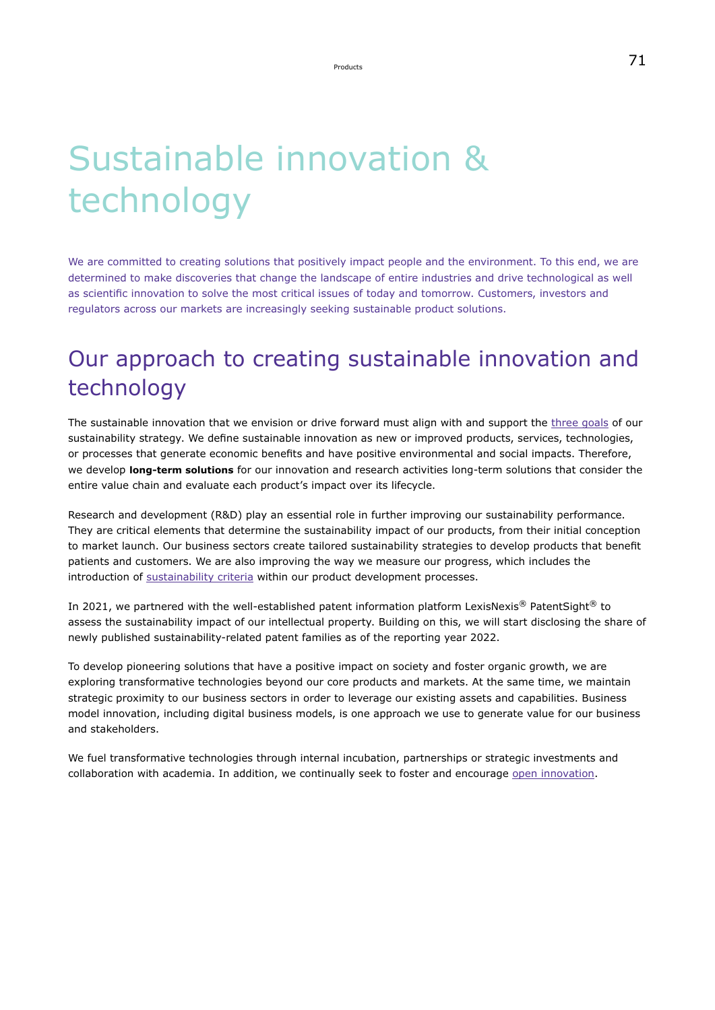# Sustainable innovation & technology

We are committed to creating solutions that positively impact people and the environment. To this end, we are determined to make discoveries that change the landscape of entire industries and drive technological as well as scientific innovation to solve the most critical issues of today and tomorrow. Customers, investors and regulators across our markets are increasingly seeking sustainable product solutions.

# Our approach to creating sustainable innovation and technology

The sustainable innovation that we envision or drive forward must align with and support the [three goals](#page-12-0) of our sustainability strategy. We define sustainable innovation as new or improved products, services, technologies, or processes that generate economic benefits and have positive environmental and social impacts. Therefore, we develop **long-term solutions** for our innovation and research activities long-term solutions that consider the entire value chain and evaluate each product's impact over its lifecycle.

Research and development (R&D) play an essential role in further improving our sustainability performance. They are critical elements that determine the sustainability impact of our products, from their initial conception to market launch. Our business sectors create tailored sustainability strategies to develop products that benefit patients and customers. We are also improving the way we measure our progress, which includes the introduction of [sustainability criteria](#page-74-1) within our product development processes.

In 2021, we partnered with the well-established patent information platform LexisNexis® PatentSight® to assess the sustainability impact of our intellectual property. Building on this, we will start disclosing the share of newly published sustainability-related patent families as of the reporting year 2022.

To develop pioneering solutions that have a positive impact on society and foster organic growth, we are exploring transformative technologies beyond our core products and markets. At the same time, we maintain strategic proximity to our business sectors in order to leverage our existing assets and capabilities. Business model innovation, including digital business models, is one approach we use to generate value for our business and stakeholders.

We fuel transformative technologies through internal incubation, partnerships or strategic investments and collaboration with academia. In addition, we continually seek to foster and encourage [open innovation](#page-92-0).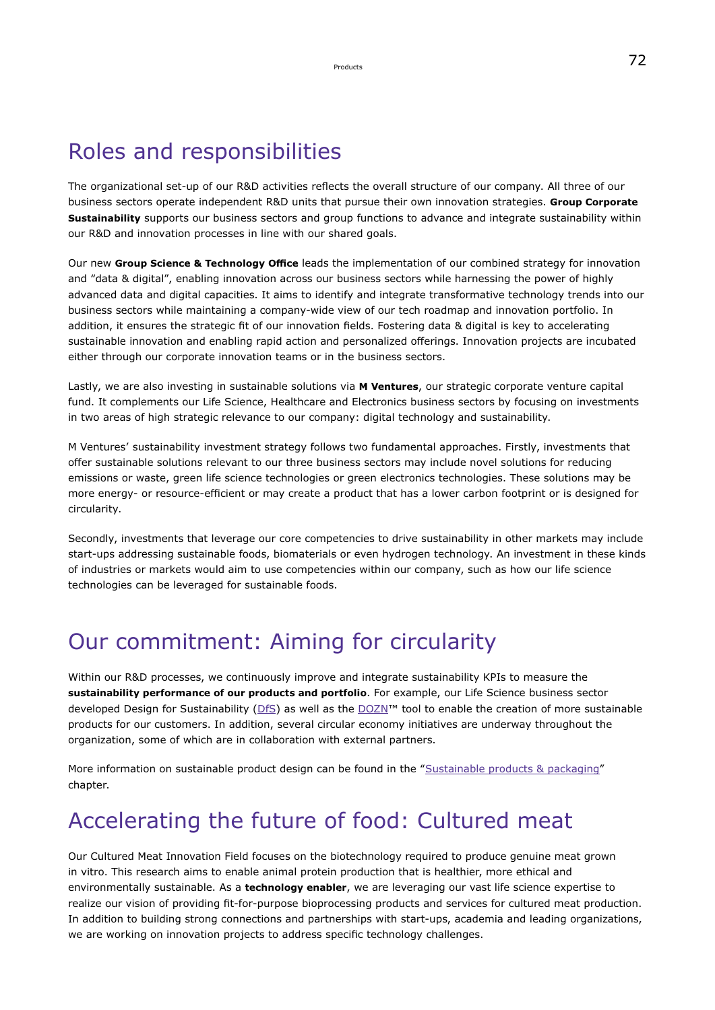# Roles and responsibilities

The organizational set-up of our R&D activities reflects the overall structure of our company. All three of our business sectors operate independent R&D units that pursue their own innovation strategies. **Group Corporate Sustainability** supports our business sectors and group functions to advance and integrate sustainability within our R&D and innovation processes in line with our shared goals.

Our new **Group Science & Technology Office** leads the implementation of our combined strategy for innovation and "data & digital", enabling innovation across our business sectors while harnessing the power of highly advanced data and digital capacities. It aims to identify and integrate transformative technology trends into our business sectors while maintaining a company-wide view of our tech roadmap and innovation portfolio. In addition, it ensures the strategic fit of our innovation fields. Fostering data & digital is key to accelerating sustainable innovation and enabling rapid action and personalized offerings. Innovation projects are incubated either through our corporate innovation teams or in the business sectors.

Lastly, we are also investing in sustainable solutions via **M Ventures**, our strategic corporate venture capital fund. It complements our Life Science, Healthcare and Electronics business sectors by focusing on investments in two areas of high strategic relevance to our company: digital technology and sustainability.

M Ventures' sustainability investment strategy follows two fundamental approaches. Firstly, investments that offer sustainable solutions relevant to our three business sectors may include novel solutions for reducing emissions or waste, green life science technologies or green electronics technologies. These solutions may be more energy- or resource-efficient or may create a product that has a lower carbon footprint or is designed for circularity.

Secondly, investments that leverage our core competencies to drive sustainability in other markets may include start-ups addressing sustainable foods, biomaterials or even hydrogen technology. An investment in these kinds of industries or markets would aim to use competencies within our company, such as how our life science technologies can be leveraged for sustainable foods.

# Our commitment: Aiming for circularity

Within our R&D processes, we continuously improve and integrate sustainability KPIs to measure the **sustainability performance of our products and portfolio**. For example, our Life Science business sector developed Design for Sustainability [\(DfS\)](#page-74-1) as well as the [DOZN](#page-78-0)™ tool to enable the creation of more sustainable products for our customers. In addition, several circular economy initiatives are underway throughout the organization, some of which are in collaboration with external partners.

More information on sustainable product design can be found in the ["Sustainable products & packaging](#page-74-0)" chapter.

# Accelerating the future of food: Cultured meat

Our Cultured Meat Innovation Field focuses on the biotechnology required to produce genuine meat grown in vitro. This research aims to enable animal protein production that is healthier, more ethical and environmentally sustainable. As a **technology enabler**, we are leveraging our vast life science expertise to realize our vision of providing fit-for-purpose bioprocessing products and services for cultured meat production. In addition to building strong connections and partnerships with start-ups, academia and leading organizations, we are working on innovation projects to address specific technology challenges.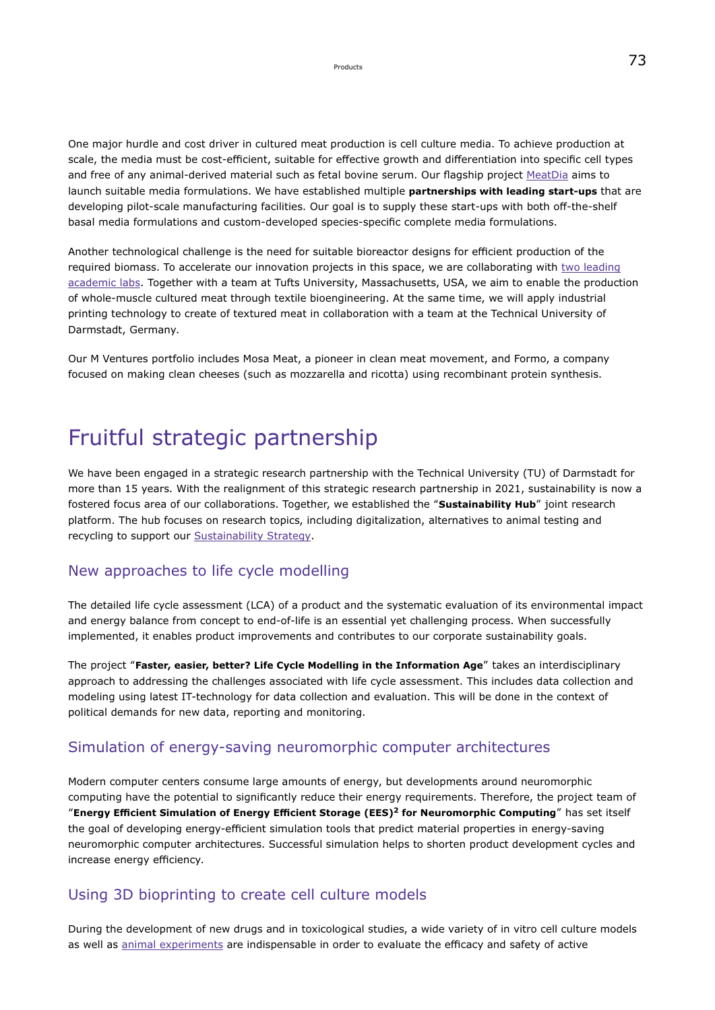One major hurdle and cost driver in cultured meat production is cell culture media. To achieve production at scale, the media must be cost-efficient, suitable for effective growth and differentiation into specific cell types and free of any animal-derived material such as fetal bovine serum. Our flagship project [MeatDia](https://www.emdgroup.com/en/research/innovation-center/highlights/mediaforculturedmeat.html) aims to launch suitable media formulations. We have established multiple **partnerships with leading start-ups** that are developing pilot-scale manufacturing facilities. Our goal is to supply these start-ups with both off-the-shelf basal media formulations and custom-developed species-specific complete media formulations.

Another technological challenge is the need for suitable bioreactor designs for efficient production of the required biomass. To accelerate our innovation projects in this space, we are collaborating with [two leading](https://www.emdgroup.com/en/news/cultured-meat.html) [academic labs.](https://www.emdgroup.com/en/news/cultured-meat.html) Together with a team at Tufts University, Massachusetts, USA, we aim to enable the production of whole-muscle cultured meat through textile bioengineering. At the same time, we will apply industrial printing technology to create of textured meat in collaboration with a team at the Technical University of Darmstadt, Germany.

Our M Ventures portfolio includes Mosa Meat, a pioneer in clean meat movement, and Formo, a company focused on making clean cheeses (such as mozzarella and ricotta) using recombinant protein synthesis.

# Fruitful strategic partnership

We have been engaged in a strategic research partnership with the Technical University (TU) of Darmstadt for more than 15 years. With the realignment of this strategic research partnership in 2021, sustainability is now a fostered focus area of our collaborations. Together, we established the "**Sustainability Hub**" joint research platform. The hub focuses on research topics, including digitalization, alternatives to animal testing and recycling to support our [Sustainability Strategy](#page-10-0).

### New approaches to life cycle modelling

The detailed life cycle assessment (LCA) of a product and the systematic evaluation of its environmental impact and energy balance from concept to end-of-life is an essential yet challenging process. When successfully implemented, it enables product improvements and contributes to our corporate sustainability goals.

The project "**Faster, easier, better? Life Cycle Modelling in the Information Age**" takes an interdisciplinary approach to addressing the challenges associated with life cycle assessment. This includes data collection and modeling using latest IT-technology for data collection and evaluation. This will be done in the context of political demands for new data, reporting and monitoring.

### Simulation of energy-saving neuromorphic computer architectures

Modern computer centers consume large amounts of energy, but developments around neuromorphic computing have the potential to significantly reduce their energy requirements. Therefore, the project team of "**Energy Efficient Simulation of Energy Efficient Storage (EES)<sup>2</sup> for Neuromorphic Computing**" has set itself the goal of developing energy-efficient simulation tools that predict material properties in energy-saving neuromorphic computer architectures. Successful simulation helps to shorten product development cycles and increase energy efficiency.

## Using 3D bioprinting to create cell culture models

During the development of new drugs and in toxicological studies, a wide variety of in vitro cell culture models as well as [animal experiments](#page-59-0) are indispensable in order to evaluate the efficacy and safety of active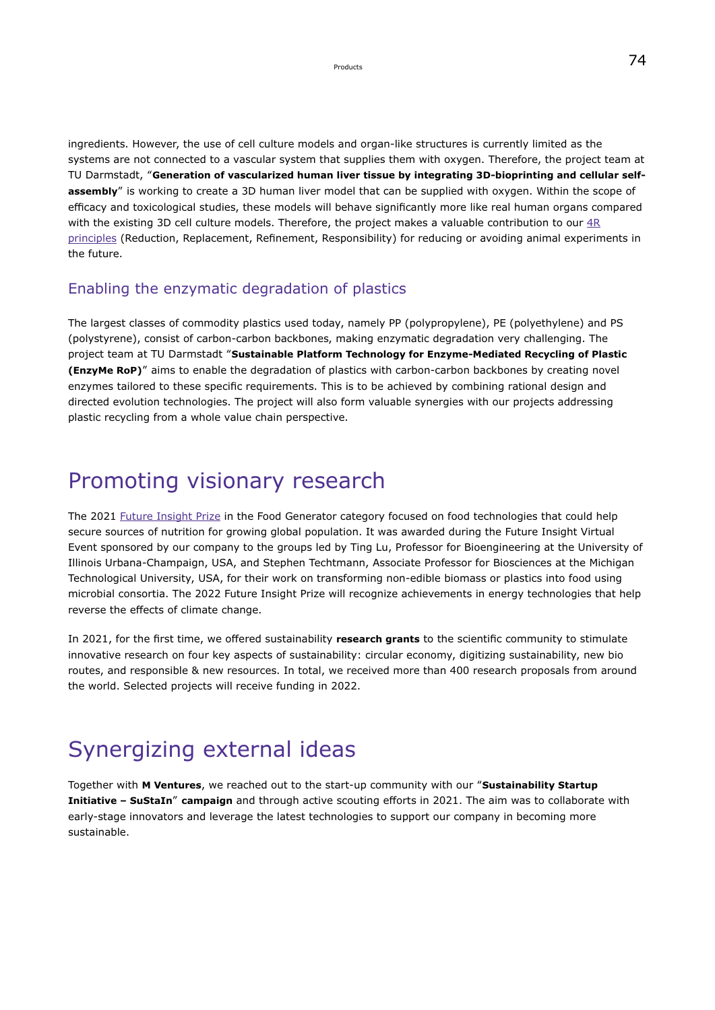ingredients. However, the use of cell culture models and organ-like structures is currently limited as the systems are not connected to a vascular system that supplies them with oxygen. Therefore, the project team at TU Darmstadt, "**Generation of vascularized human liver tissue by integrating 3D-bioprinting and cellular selfassembly**" is working to create a 3D human liver model that can be supplied with oxygen. Within the scope of efficacy and toxicological studies, these models will behave significantly more like real human organs compared with the existing 3D cell culture models. Therefore, the project makes a valuable contribution to our [4R](#page-59-0) [principles](#page-59-0) (Reduction, Replacement, Refinement, Responsibility) for reducing or avoiding animal experiments in the future.

## Enabling the enzymatic degradation of plastics

The largest classes of commodity plastics used today, namely PP (polypropylene), PE (polyethylene) and PS (polystyrene), consist of carbon-carbon backbones, making enzymatic degradation very challenging. The project team at TU Darmstadt "**Sustainable Platform Technology for Enzyme-Mediated Recycling of Plastic (EnzyMe RoP)**" aims to enable the degradation of plastics with carbon-carbon backbones by creating novel enzymes tailored to these specific requirements. This is to be achieved by combining rational design and directed evolution technologies. The project will also form valuable synergies with our projects addressing plastic recycling from a whole value chain perspective.

# Promoting visionary research

The 2021 [Future Insight Prize](https://www.emdgroup.com/en/research/open-innovation/futureinsightprize_streaming.html) in the Food Generator category focused on food technologies that could help secure sources of nutrition for growing global population. It was awarded during the Future Insight Virtual Event sponsored by our company to the groups led by Ting Lu, Professor for Bioengineering at the University of Illinois Urbana-Champaign, USA, and Stephen Techtmann, Associate Professor for Biosciences at the Michigan Technological University, USA, for their work on transforming non-edible biomass or plastics into food using microbial consortia. The 2022 Future Insight Prize will recognize achievements in energy technologies that help reverse the effects of climate change.

In 2021, for the first time, we offered sustainability **research grants** to the scientific community to stimulate innovative research on four key aspects of sustainability: circular economy, digitizing sustainability, new bio routes, and responsible & new resources. In total, we received more than 400 research proposals from around the world. Selected projects will receive funding in 2022.

# Synergizing external ideas

Together with **M Ventures**, we reached out to the start-up community with our "**Sustainability Startup Initiative – SuStaIn**" **campaign** and through active scouting efforts in 2021. The aim was to collaborate with early-stage innovators and leverage the latest technologies to support our company in becoming more sustainable.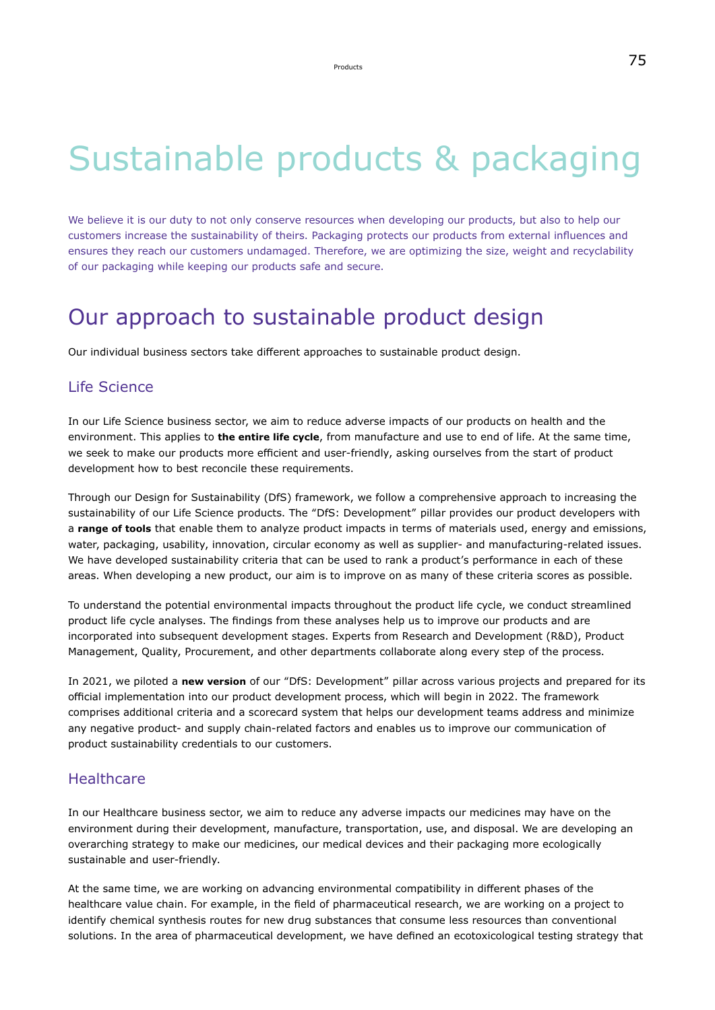# Sustainable products & packaging

We believe it is our duty to not only conserve resources when developing our products, but also to help our customers increase the sustainability of theirs. Packaging protects our products from external influences and ensures they reach our customers undamaged. Therefore, we are optimizing the size, weight and recyclability of our packaging while keeping our products safe and secure.

# Our approach to sustainable product design

Our individual business sectors take different approaches to sustainable product design.

### Life Science

In our Life Science business sector, we aim to reduce adverse impacts of our products on health and the environment. This applies to **the entire life cycle**, from manufacture and use to end of life. At the same time, we seek to make our products more efficient and user-friendly, asking ourselves from the start of product development how to best reconcile these requirements.

Through our Design for Sustainability (DfS) framework, we follow a comprehensive approach to increasing the sustainability of our Life Science products. The "DfS: Development" pillar provides our product developers with a **range of tools** that enable them to analyze product impacts in terms of materials used, energy and emissions, water, packaging, usability, innovation, circular economy as well as supplier- and manufacturing-related issues. We have developed sustainability criteria that can be used to rank a product's performance in each of these areas. When developing a new product, our aim is to improve on as many of these criteria scores as possible.

To understand the potential environmental impacts throughout the product life cycle, we conduct streamlined product life cycle analyses. The findings from these analyses help us to improve our products and are incorporated into subsequent development stages. Experts from Research and Development (R&D), Product Management, Quality, Procurement, and other departments collaborate along every step of the process.

In 2021, we piloted a **new version** of our "DfS: Development" pillar across various projects and prepared for its official implementation into our product development process, which will begin in 2022. The framework comprises additional criteria and a scorecard system that helps our development teams address and minimize any negative product- and supply chain-related factors and enables us to improve our communication of product sustainability credentials to our customers.

#### **Healthcare**

In our Healthcare business sector, we aim to reduce any adverse impacts our medicines may have on the environment during their development, manufacture, transportation, use, and disposal. We are developing an overarching strategy to make our medicines, our medical devices and their packaging more ecologically sustainable and user-friendly.

At the same time, we are working on advancing environmental compatibility in different phases of the healthcare value chain. For example, in the field of pharmaceutical research, we are working on a project to identify chemical synthesis routes for new drug substances that consume less resources than conventional solutions. In the area of pharmaceutical development, we have defined an ecotoxicological testing strategy that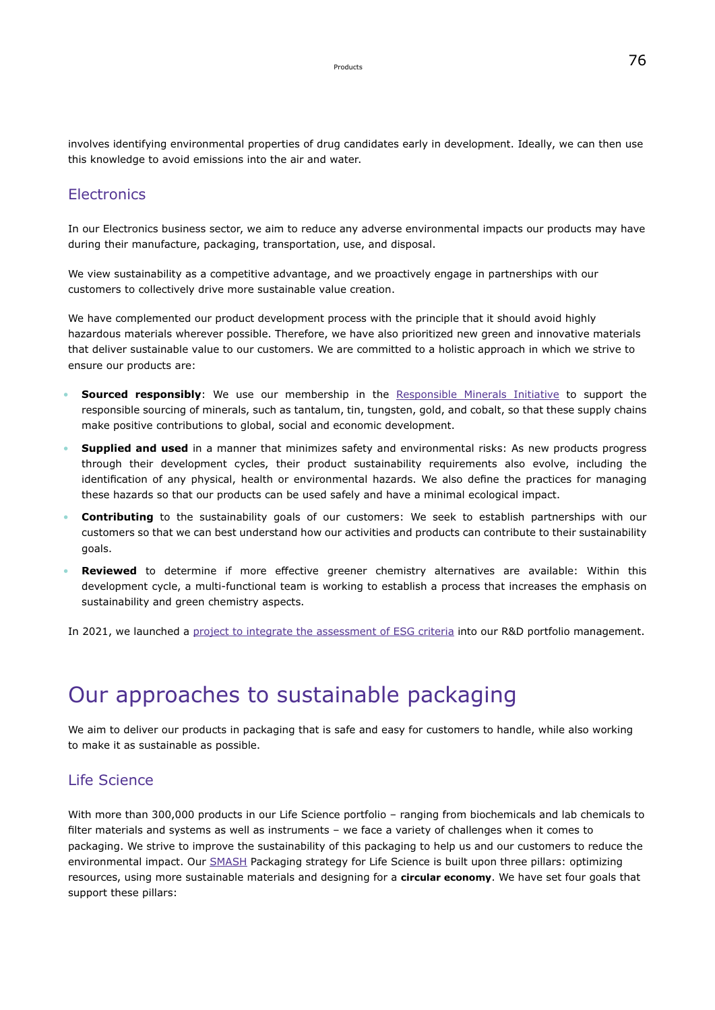involves identifying environmental properties of drug candidates early in development. Ideally, we can then use this knowledge to avoid emissions into the air and water.

#### **Electronics**

In our Electronics business sector, we aim to reduce any adverse environmental impacts our products may have during their manufacture, packaging, transportation, use, and disposal.

We view sustainability as a competitive advantage, and we proactively engage in partnerships with our customers to collectively drive more sustainable value creation.

We have complemented our product development process with the principle that it should avoid highly hazardous materials wherever possible. Therefore, we have also prioritized new green and innovative materials that deliver sustainable value to our customers. We are committed to a holistic approach in which we strive to ensure our products are:

- **Sourced responsibly**: We use our membership in the [Responsible Minerals Initiative](https://www.responsiblemineralsinitiative.org/) to support the responsible sourcing of minerals, such as tantalum, tin, tungsten, gold, and cobalt, so that these supply chains make positive contributions to global, social and economic development.
- **Supplied and used** in a manner that minimizes safety and environmental risks: As new products progress through their development cycles, their product sustainability requirements also evolve, including the identification of any physical, health or environmental hazards. We also define the practices for managing these hazards so that our products can be used safely and have a minimal ecological impact.
- **Contributing** to the sustainability goals of our customers: We seek to establish partnerships with our customers so that we can best understand how our activities and products can contribute to their sustainability goals.
- **Reviewed** to determine if more effective greener chemistry alternatives are available: Within this development cycle, a multi-functional team is working to establish a process that increases the emphasis on sustainability and green chemistry aspects.

In 2021, we launched a [project to integrate the assessment of ESG criteria](#page-80-0) into our R&D portfolio management.

# Our approaches to sustainable packaging

We aim to deliver our products in packaging that is safe and easy for customers to handle, while also working to make it as sustainable as possible.

#### Life Science

With more than 300,000 products in our Life Science portfolio – ranging from biochemicals and lab chemicals to filter materials and systems as well as instruments – we face a variety of challenges when it comes to packaging. We strive to improve the sustainability of this packaging to help us and our customers to reduce the environmental impact. Our [SMASH](#page-81-0) Packaging strategy for Life Science is built upon three pillars: optimizing resources, using more sustainable materials and designing for a **circular economy**. We have set four goals that support these pillars: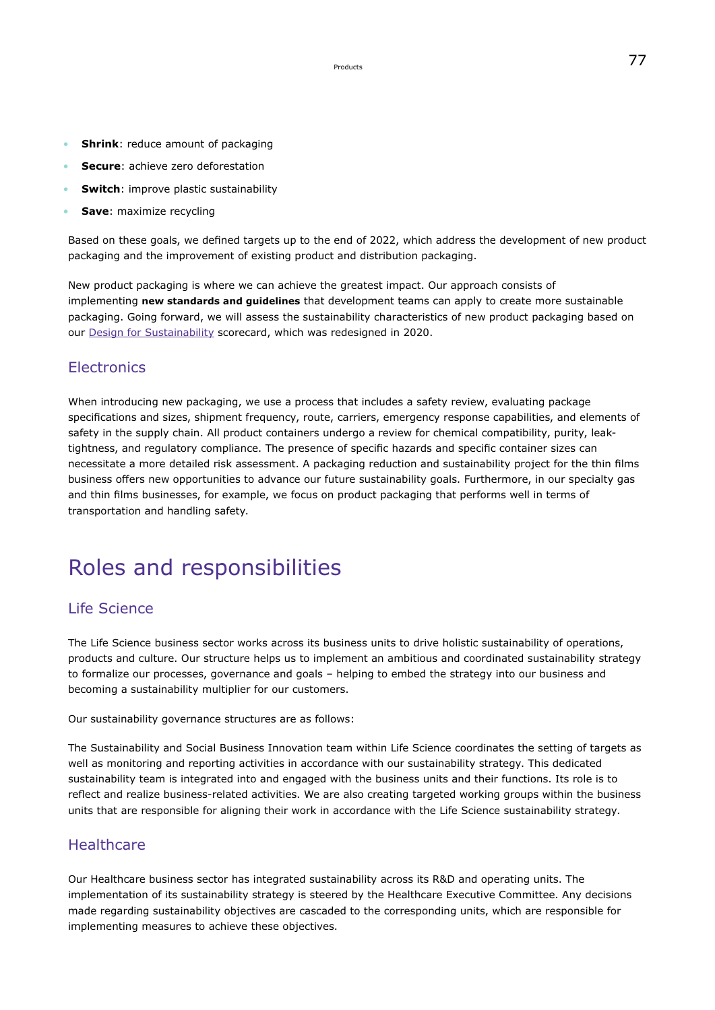- **Shrink**: reduce amount of packaging
- **Secure**: achieve zero deforestation
- **Switch**: improve plastic sustainability
- **Save:** maximize recycling

Based on these goals, we defined targets up to the end of 2022, which address the development of new product packaging and the improvement of existing product and distribution packaging.

New product packaging is where we can achieve the greatest impact. Our approach consists of implementing **new standards and guidelines** that development teams can apply to create more sustainable packaging. Going forward, we will assess the sustainability characteristics of new product packaging based on our [Design for Sustainability](#page-77-0) scorecard, which was redesigned in 2020.

#### **Electronics**

When introducing new packaging, we use a process that includes a safety review, evaluating package specifications and sizes, shipment frequency, route, carriers, emergency response capabilities, and elements of safety in the supply chain. All product containers undergo a review for chemical compatibility, purity, leaktightness, and regulatory compliance. The presence of specific hazards and specific container sizes can necessitate a more detailed risk assessment. A packaging reduction and sustainability project for the thin films business offers new opportunities to advance our future sustainability goals. Furthermore, in our specialty gas and thin films businesses, for example, we focus on product packaging that performs well in terms of transportation and handling safety.

# Roles and responsibilities

### Life Science

The Life Science business sector works across its business units to drive holistic sustainability of operations, products and culture. Our structure helps us to implement an ambitious and coordinated sustainability strategy to formalize our processes, governance and goals – helping to embed the strategy into our business and becoming a sustainability multiplier for our customers.

Our sustainability governance structures are as follows:

The Sustainability and Social Business Innovation team within Life Science coordinates the setting of targets as well as monitoring and reporting activities in accordance with our sustainability strategy. This dedicated sustainability team is integrated into and engaged with the business units and their functions. Its role is to reflect and realize business-related activities. We are also creating targeted working groups within the business units that are responsible for aligning their work in accordance with the Life Science sustainability strategy.

#### **Healthcare**

Our Healthcare business sector has integrated sustainability across its R&D and operating units. The implementation of its sustainability strategy is steered by the Healthcare Executive Committee. Any decisions made regarding sustainability objectives are cascaded to the corresponding units, which are responsible for implementing measures to achieve these objectives.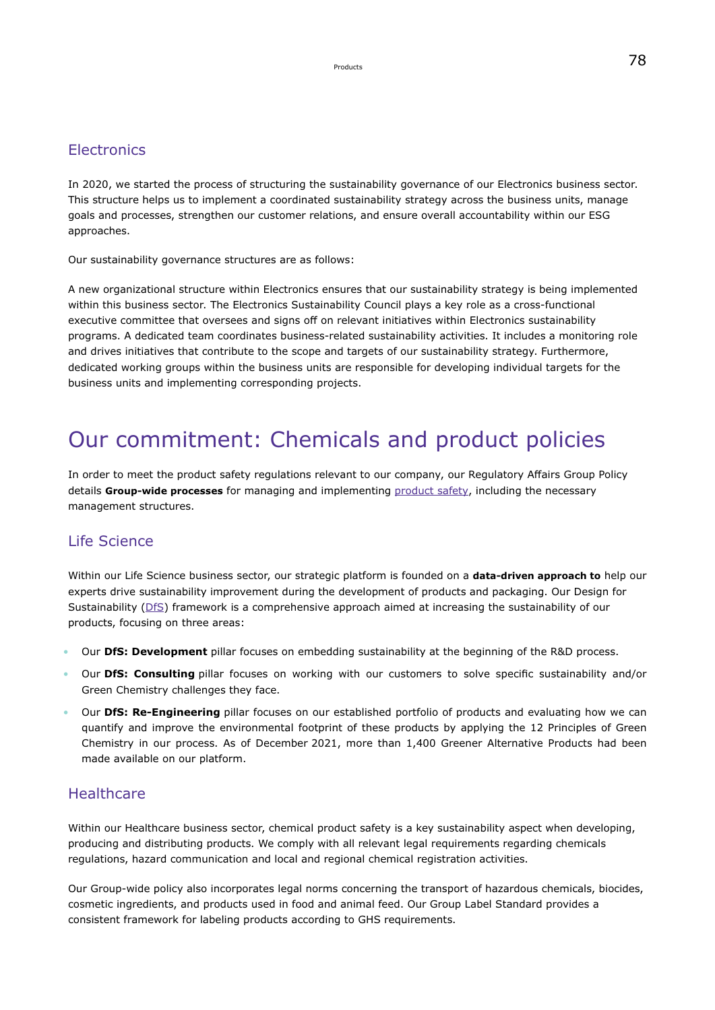### **Electronics**

In 2020, we started the process of structuring the sustainability governance of our Electronics business sector. This structure helps us to implement a coordinated sustainability strategy across the business units, manage goals and processes, strengthen our customer relations, and ensure overall accountability within our ESG approaches.

Our sustainability governance structures are as follows:

A new organizational structure within Electronics ensures that our sustainability strategy is being implemented within this business sector. The Electronics Sustainability Council plays a key role as a cross-functional executive committee that oversees and signs off on relevant initiatives within Electronics sustainability programs. A dedicated team coordinates business-related sustainability activities. It includes a monitoring role and drives initiatives that contribute to the scope and targets of our sustainability strategy. Furthermore, dedicated working groups within the business units are responsible for developing individual targets for the business units and implementing corresponding projects.

# Our commitment: Chemicals and product policies

In order to meet the product safety regulations relevant to our company, our Regulatory Affairs Group Policy details **Group-wide processes** for managing and implementing [product safety](#page-102-1), including the necessary management structures.

### Life Science

Within our Life Science business sector, our strategic platform is founded on a **data-driven approach to** help our experts drive sustainability improvement during the development of products and packaging. Our Design for Sustainability [\(DfS\)](https://www.sigmaaldrich.com/GB/en/life-science/ssbi/design-sustainability) framework is a comprehensive approach aimed at increasing the sustainability of our products, focusing on three areas:

- Our **DfS: Development** pillar focuses on embedding sustainability at the beginning of the R&D process.
- Our **DfS: Consulting** pillar focuses on working with our customers to solve specific sustainability and/or Green Chemistry challenges they face.
- Our **DfS: Re-Engineering** pillar focuses on our established portfolio of products and evaluating how we can quantify and improve the environmental footprint of these products by applying the 12 Principles of Green Chemistry in our process. As of December 2021, more than 1,400 Greener Alternative Products had been made available on our platform.

#### **Healthcare**

Within our Healthcare business sector, chemical product safety is a key sustainability aspect when developing, producing and distributing products. We comply with all relevant legal requirements regarding chemicals regulations, hazard communication and local and regional chemical registration activities.

Our Group-wide policy also incorporates legal norms concerning the transport of hazardous chemicals, biocides, cosmetic ingredients, and products used in food and animal feed. Our Group Label Standard provides a consistent framework for labeling products according to GHS requirements.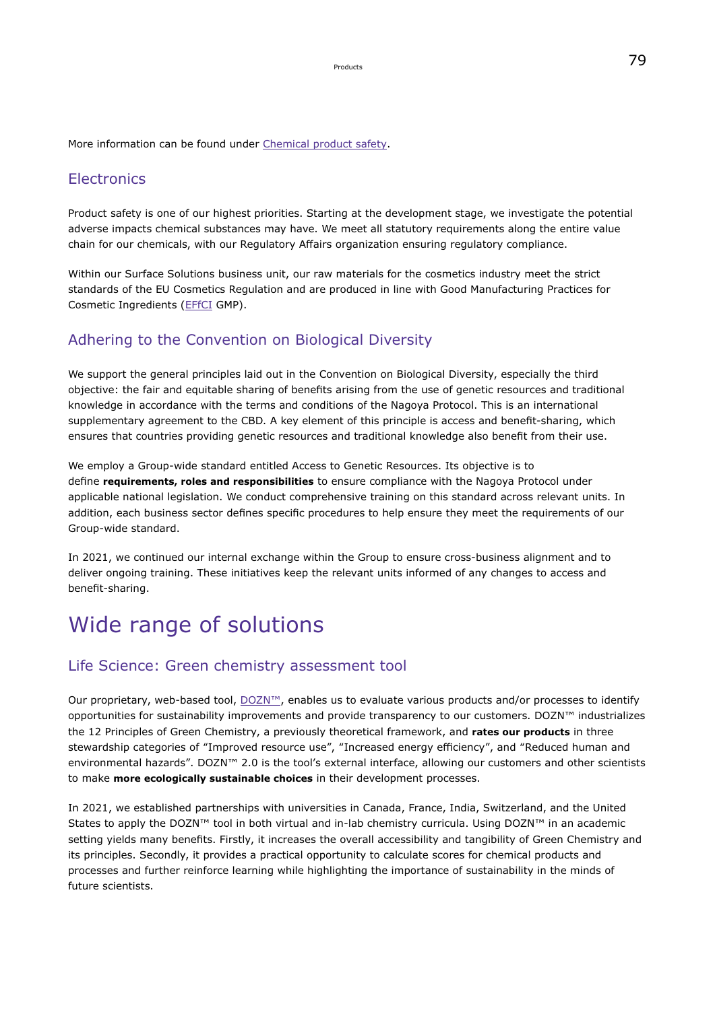More information can be found under [Chemical product safety](#page-102-1).

#### **Electronics**

Product safety is one of our highest priorities. Starting at the development stage, we investigate the potential adverse impacts chemical substances may have. We meet all statutory requirements along the entire value chain for our chemicals, with our Regulatory Affairs organization ensuring regulatory compliance.

Within our Surface Solutions business unit, our raw materials for the cosmetics industry meet the strict standards of the EU Cosmetics Regulation and are produced in line with Good Manufacturing Practices for Cosmetic Ingredients [\(EFfCI](http://effci.com/) GMP).

### Adhering to the Convention on Biological Diversity

We support the general principles laid out in the Convention on Biological Diversity, especially the third objective: the fair and equitable sharing of benefits arising from the use of genetic resources and traditional knowledge in accordance with the terms and conditions of the Nagoya Protocol. This is an international supplementary agreement to the CBD. A key element of this principle is access and benefit-sharing, which ensures that countries providing genetic resources and traditional knowledge also benefit from their use.

We employ a Group-wide standard entitled Access to Genetic Resources. Its objective is to define **requirements, roles and responsibilities** to ensure compliance with the Nagoya Protocol under applicable national legislation. We conduct comprehensive training on this standard across relevant units. In addition, each business sector defines specific procedures to help ensure they meet the requirements of our Group-wide standard.

In 2021, we continued our internal exchange within the Group to ensure cross-business alignment and to deliver ongoing training. These initiatives keep the relevant units informed of any changes to access and benefit-sharing.

# Wide range of solutions

#### Life Science: Green chemistry assessment tool

Our proprietary, web-based tool, [DOZN™,](https://www.sigmaaldrich.com/DE/en/services/software-and-digital-platforms/dozn-tool) enables us to evaluate various products and/or processes to identify opportunities for sustainability improvements and provide transparency to our customers. DOZN™ industrializes the 12 Principles of Green Chemistry, a previously theoretical framework, and **rates our products** in three stewardship categories of "Improved resource use", "Increased energy efficiency", and "Reduced human and environmental hazards". DOZN™ 2.0 is the tool's external interface, allowing our customers and other scientists to make **more ecologically sustainable choices** in their development processes.

In 2021, we established partnerships with universities in Canada, France, India, Switzerland, and the United States to apply the DOZN™ tool in both virtual and in-lab chemistry curricula. Using DOZN™ in an academic setting yields many benefits. Firstly, it increases the overall accessibility and tangibility of Green Chemistry and its principles. Secondly, it provides a practical opportunity to calculate scores for chemical products and processes and further reinforce learning while highlighting the importance of sustainability in the minds of future scientists.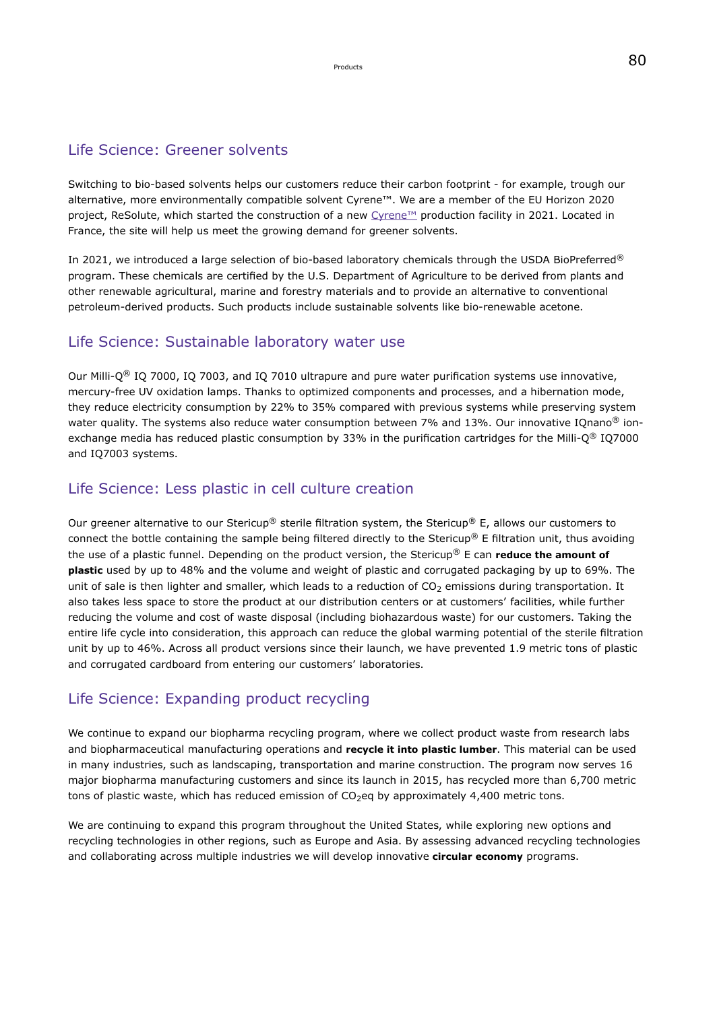#### <span id="page-10-0"></span>Life Science: Greener solvents

Switching to bio-based solvents helps our customers reduce their carbon footprint - for example, trough our alternative, more environmentally compatible solvent Cyrene™. We are a member of the EU Horizon 2020 project, ReSolute, which started the construction of a new [Cyrene™](https://www.emdgroup.com/en/research/science-space/envisioning-tomorrow/scarcity-of-resources/cyrene.html) production facility in 2021. Located in France, the site will help us meet the growing demand for greener solvents.

In 2021, we introduced a large selection of bio-based laboratory chemicals through the USDA BioPreferred® program. These chemicals are certified by the U.S. Department of Agriculture to be derived from plants and other renewable agricultural, marine and forestry materials and to provide an alternative to conventional petroleum-derived products. Such products include sustainable solvents like bio-renewable acetone.

#### Life Science: Sustainable laboratory water use

Our Milli- $O^{(8)}$  IO 7000, IO 7003, and IO 7010 ultrapure and pure water purification systems use innovative, mercury-free UV oxidation lamps. Thanks to optimized components and processes, and a hibernation mode, they reduce electricity consumption by 22% to 35% compared with previous systems while preserving system water quality. The systems also reduce water consumption between 7% and 13%. Our innovative IQnano<sup>®</sup> ionexchange media has reduced plastic consumption by 33% in the purification cartridges for the Milli-Q® IQ7000 and IQ7003 systems.

#### Life Science: Less plastic in cell culture creation

Our greener alternative to our Stericup® sterile filtration system, the Stericup® E, allows our customers to connect the bottle containing the sample being filtered directly to the Stericup<sup>®</sup> E filtration unit, thus avoiding the use of a plastic funnel. Depending on the product version, the Stericup® E can **reduce the amount of plastic** used by up to 48% and the volume and weight of plastic and corrugated packaging by up to 69%. The unit of sale is then lighter and smaller, which leads to a reduction of  $CO<sub>2</sub>$  emissions during transportation. It also takes less space to store the product at our distribution centers or at customers' facilities, while further reducing the volume and cost of waste disposal (including biohazardous waste) for our customers. Taking the entire life cycle into consideration, this approach can reduce the global warming potential of the sterile filtration unit by up to 46%. Across all product versions since their launch, we have prevented 1.9 metric tons of plastic and corrugated cardboard from entering our customers' laboratories.

## Life Science: Expanding product recycling

We continue to expand our biopharma recycling program, where we collect product waste from research labs and biopharmaceutical manufacturing operations and **recycle it into plastic lumber**. This material can be used in many industries, such as landscaping, transportation and marine construction. The program now serves 16 major biopharma manufacturing customers and since its launch in 2015, has recycled more than 6,700 metric tons of plastic waste, which has reduced emission of  $CO<sub>2</sub>$ eq by approximately 4,400 metric tons.

We are continuing to expand this program throughout the United States, while exploring new options and recycling technologies in other regions, such as Europe and Asia. By assessing advanced recycling technologies and collaborating across multiple industries we will develop innovative **circular economy** programs.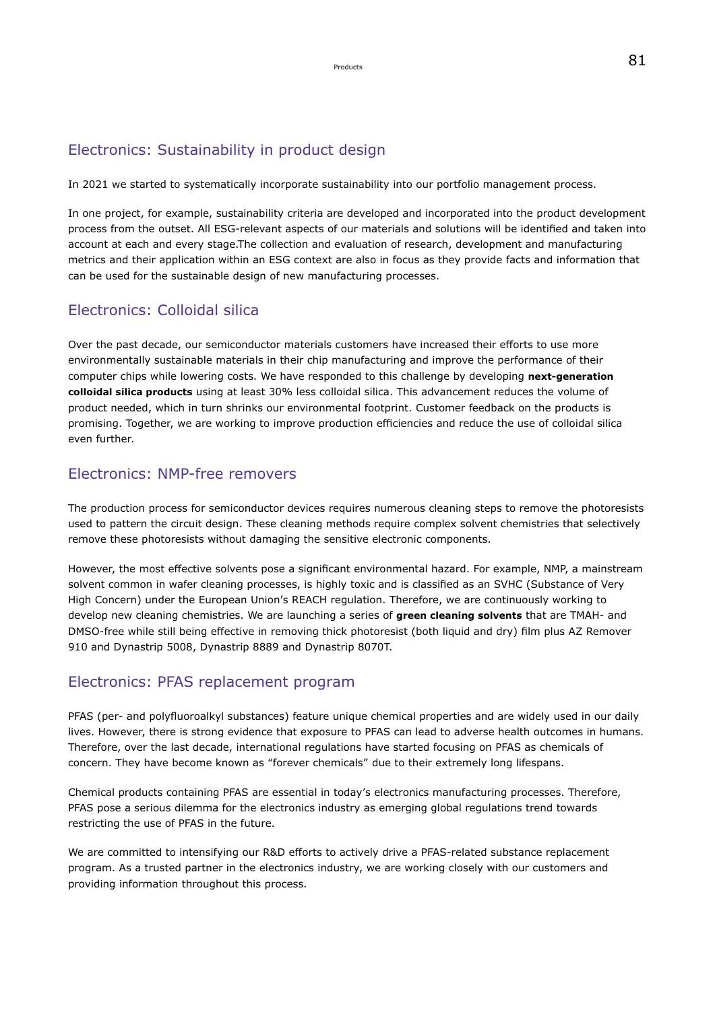# Electronics: Sustainability in product design

In 2021 we started to systematically incorporate sustainability into our portfolio management process.

In one project, for example, sustainability criteria are developed and incorporated into the product development process from the outset. All ESG-relevant aspects of our materials and solutions will be identified and taken into account at each and every stage.The collection and evaluation of research, development and manufacturing metrics and their application within an ESG context are also in focus as they provide facts and information that can be used for the sustainable design of new manufacturing processes.

### Electronics: Colloidal silica

Over the past decade, our semiconductor materials customers have increased their efforts to use more environmentally sustainable materials in their chip manufacturing and improve the performance of their computer chips while lowering costs. We have responded to this challenge by developing **next-generation colloidal silica products** using at least 30% less colloidal silica. This advancement reduces the volume of product needed, which in turn shrinks our environmental footprint. Customer feedback on the products is promising. Together, we are working to improve production efficiencies and reduce the use of colloidal silica even further.

#### Electronics: NMP-free removers

The production process for semiconductor devices requires numerous cleaning steps to remove the photoresists used to pattern the circuit design. These cleaning methods require complex solvent chemistries that selectively remove these photoresists without damaging the sensitive electronic components.

However, the most effective solvents pose a significant environmental hazard. For example, NMP, a mainstream solvent common in wafer cleaning processes, is highly toxic and is classified as an SVHC (Substance of Very High Concern) under the European Union's REACH regulation. Therefore, we are continuously working to develop new cleaning chemistries. We are launching a series of **green cleaning solvents** that are TMAH- and DMSO-free while still being effective in removing thick photoresist (both liquid and dry) film plus AZ Remover 910 and Dynastrip 5008, Dynastrip 8889 and Dynastrip 8070T.

### Electronics: PFAS replacement program

PFAS (per- and polyfluoroalkyl substances) feature unique chemical properties and are widely used in our daily lives. However, there is strong evidence that exposure to PFAS can lead to adverse health outcomes in humans. Therefore, over the last decade, international regulations have started focusing on PFAS as chemicals of concern. They have become known as "forever chemicals" due to their extremely long lifespans.

Chemical products containing PFAS are essential in today's electronics manufacturing processes. Therefore, PFAS pose a serious dilemma for the electronics industry as emerging global regulations trend towards restricting the use of PFAS in the future.

We are committed to intensifying our R&D efforts to actively drive a PFAS-related substance replacement program. As a trusted partner in the electronics industry, we are working closely with our customers and providing information throughout this process.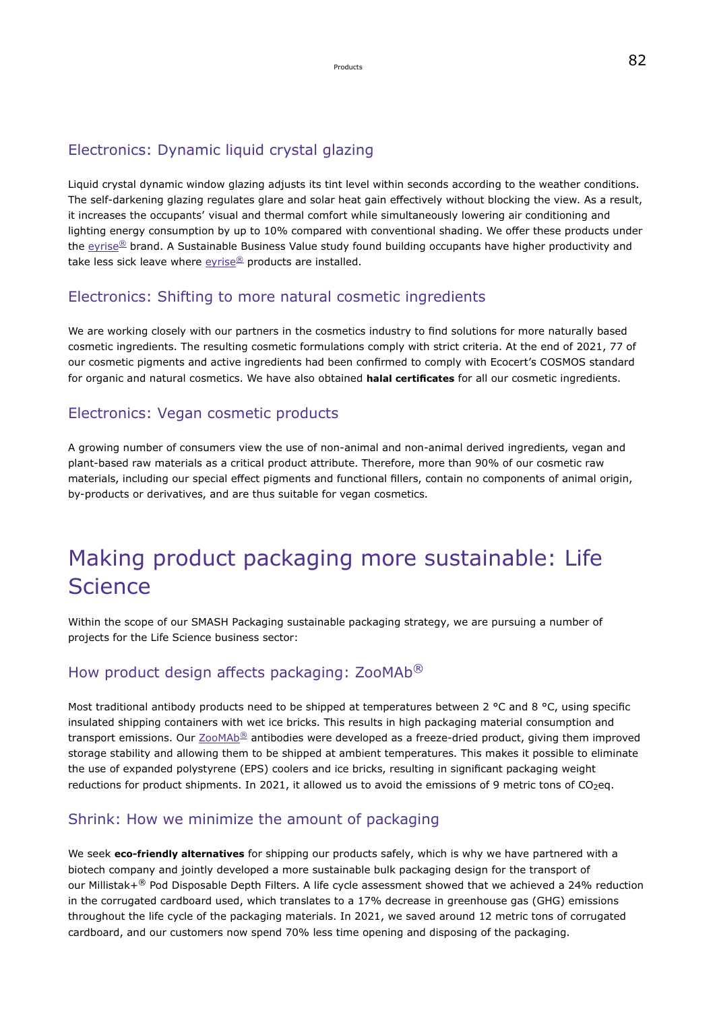# <span id="page-12-0"></span>Electronics: Dynamic liquid crystal glazing

Liquid crystal dynamic window glazing adjusts its tint level within seconds according to the weather conditions. The self-darkening glazing regulates glare and solar heat gain effectively without blocking the view. As a result, it increases the occupants' visual and thermal comfort while simultaneously lowering air conditioning and lighting energy consumption by up to 10% compared with conventional shading. We offer these products under the [eyrise](https://www.eyrise.com/)[®](https://www.eyrise.com/) brand. A Sustainable Business Value study found building occupants have higher productivity and take less sick leave where  $e$ yrise<sup>[®](https://www.eyrise.com/)</sup> products are installed.

### Electronics: Shifting to more natural cosmetic ingredients

We are working closely with our partners in the cosmetics industry to find solutions for more naturally based cosmetic ingredients. The resulting cosmetic formulations comply with strict criteria. At the end of 2021, 77 of our cosmetic pigments and active ingredients had been confirmed to comply with Ecocert's COSMOS standard for organic and natural cosmetics. We have also obtained **halal certificates** for all our cosmetic ingredients.

## Electronics: Vegan cosmetic products

A growing number of consumers view the use of non-animal and non-animal derived ingredients, vegan and plant-based raw materials as a critical product attribute. Therefore, more than 90% of our cosmetic raw materials, including our special effect pigments and functional fillers, contain no components of animal origin, by-products or derivatives, and are thus suitable for vegan cosmetics.

# Making product packaging more sustainable: Life Science

Within the scope of our SMASH Packaging sustainable packaging strategy, we are pursuing a number of projects for the Life Science business sector:

## How product design affects packaging: ZooMAb<sup>®</sup>

Most traditional antibody products need to be shipped at temperatures between 2 °C and 8 °C, using specific insulated shipping containers with wet ice bricks. This results in high packaging material consumption and transport emissions. Our  $ZooMAb^{\circledR}$  $ZooMAb^{\circledR}$  antibodies were developed as a freeze-dried product, giving them improved storage stability and allowing them to be shipped at ambient temperatures. This makes it possible to eliminate the use of expanded polystyrene (EPS) coolers and ice bricks, resulting in significant packaging weight reductions for product shipments. In 2021, it allowed us to avoid the emissions of 9 metric tons of  $CO_2$ eq.

### Shrink: How we minimize the amount of packaging

We seek **eco-friendly alternatives** for shipping our products safely, which is why we have partnered with a biotech company and jointly developed a more sustainable bulk packaging design for the transport of our Millistak+® Pod Disposable Depth Filters. A life cycle assessment showed that we achieved a 24% reduction in the corrugated cardboard used, which translates to a 17% decrease in greenhouse gas (GHG) emissions throughout the life cycle of the packaging materials. In 2021, we saved around 12 metric tons of corrugated cardboard, and our customers now spend 70% less time opening and disposing of the packaging.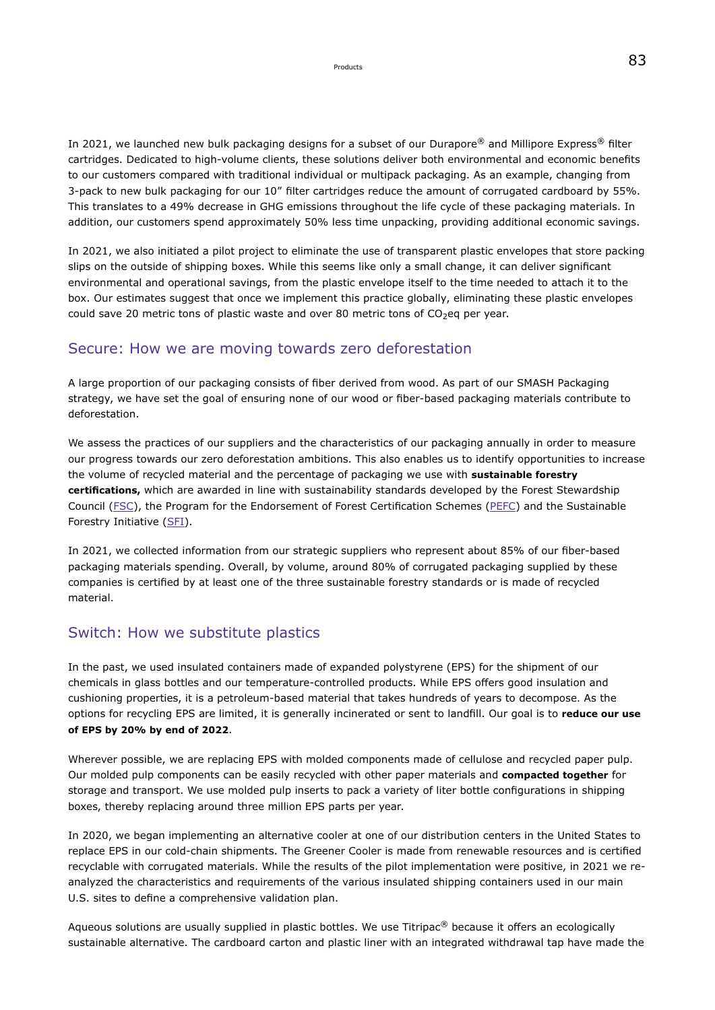In 2021, we launched new bulk packaging designs for a subset of our Durapore® and Millipore Express® filter cartridges. Dedicated to high-volume clients, these solutions deliver both environmental and economic benefits to our customers compared with traditional individual or multipack packaging. As an example, changing from 3-pack to new bulk packaging for our 10" filter cartridges reduce the amount of corrugated cardboard by 55%. This translates to a 49% decrease in GHG emissions throughout the life cycle of these packaging materials. In addition, our customers spend approximately 50% less time unpacking, providing additional economic savings.

In 2021, we also initiated a pilot project to eliminate the use of transparent plastic envelopes that store packing slips on the outside of shipping boxes. While this seems like only a small change, it can deliver significant environmental and operational savings, from the plastic envelope itself to the time needed to attach it to the box. Our estimates suggest that once we implement this practice globally, eliminating these plastic envelopes could save 20 metric tons of plastic waste and over 80 metric tons of  $CO<sub>2</sub>$ eq per year.

### Secure: How we are moving towards zero deforestation

A large proportion of our packaging consists of fiber derived from wood. As part of our SMASH Packaging strategy, we have set the goal of ensuring none of our wood or fiber-based packaging materials contribute to deforestation.

We assess the practices of our suppliers and the characteristics of our packaging annually in order to measure our progress towards our zero deforestation ambitions. This also enables us to identify opportunities to increase the volume of recycled material and the percentage of packaging we use with **sustainable forestry certifications,** which are awarded in line with sustainability standards developed by the Forest Stewardship Council [\(FSC](https://ic.fsc.org/en)), the Program for the Endorsement of Forest Certification Schemes [\(PEFC](https://pefc.org/)) and the Sustainable Forestry Initiative [\(SFI\)](http://www.sfiprogram.org/).

In 2021, we collected information from our strategic suppliers who represent about 85% of our fiber-based packaging materials spending. Overall, by volume, around 80% of corrugated packaging supplied by these companies is certified by at least one of the three sustainable forestry standards or is made of recycled material.

## Switch: How we substitute plastics

In the past, we used insulated containers made of expanded polystyrene (EPS) for the shipment of our chemicals in glass bottles and our temperature-controlled products. While EPS offers good insulation and cushioning properties, it is a petroleum-based material that takes hundreds of years to decompose. As the options for recycling EPS are limited, it is generally incinerated or sent to landfill. Our goal is to **reduce our use of EPS by 20% by end of 2022**.

Wherever possible, we are replacing EPS with molded components made of cellulose and recycled paper pulp. Our molded pulp components can be easily recycled with other paper materials and **compacted together** for storage and transport. We use molded pulp inserts to pack a variety of liter bottle configurations in shipping boxes, thereby replacing around three million EPS parts per year.

In 2020, we began implementing an alternative cooler at one of our distribution centers in the United States to replace EPS in our cold-chain shipments. The Greener Cooler is made from renewable resources and is certified recyclable with corrugated materials. While the results of the pilot implementation were positive, in 2021 we reanalyzed the characteristics and requirements of the various insulated shipping containers used in our main U.S. sites to define a comprehensive validation plan.

Aqueous solutions are usually supplied in plastic bottles. We use Titripac® because it offers an ecologically sustainable alternative. The cardboard carton and plastic liner with an integrated withdrawal tap have made the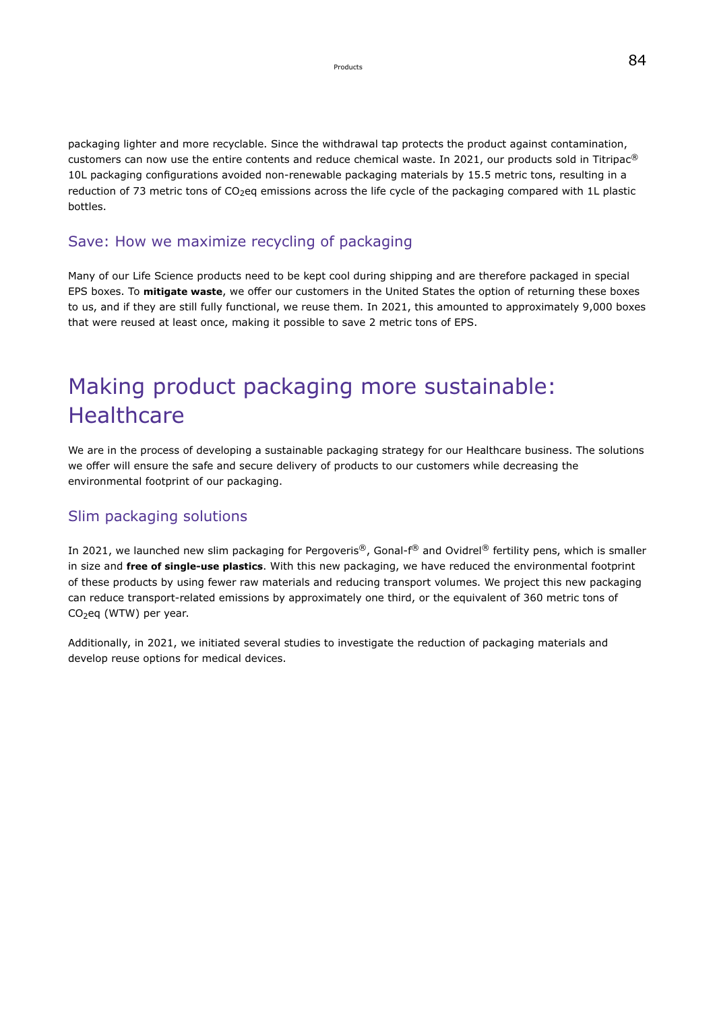packaging lighter and more recyclable. Since the withdrawal tap protects the product against contamination, customers can now use the entire contents and reduce chemical waste. In 2021, our products sold in Titripac® 10L packaging configurations avoided non-renewable packaging materials by 15.5 metric tons, resulting in a reduction of 73 metric tons of CO<sub>2</sub>eq emissions across the life cycle of the packaging compared with 1L plastic bottles.

#### Save: How we maximize recycling of packaging

Many of our Life Science products need to be kept cool during shipping and are therefore packaged in special EPS boxes. To **mitigate waste**, we offer our customers in the United States the option of returning these boxes to us, and if they are still fully functional, we reuse them. In 2021, this amounted to approximately 9,000 boxes that were reused at least once, making it possible to save 2 metric tons of EPS.

# Making product packaging more sustainable: **Healthcare**

We are in the process of developing a sustainable packaging strategy for our Healthcare business. The solutions we offer will ensure the safe and secure delivery of products to our customers while decreasing the environmental footprint of our packaging.

### Slim packaging solutions

In 2021, we launched new slim packaging for Pergoveris®, Gonal-f® and Ovidrel® fertility pens, which is smaller in size and **free of single-use plastics**. With this new packaging, we have reduced the environmental footprint of these products by using fewer raw materials and reducing transport volumes. We project this new packaging can reduce transport-related emissions by approximately one third, or the equivalent of 360 metric tons of CO<sub>2</sub>eq (WTW) per year.

Additionally, in 2021, we initiated several studies to investigate the reduction of packaging materials and develop reuse options for medical devices.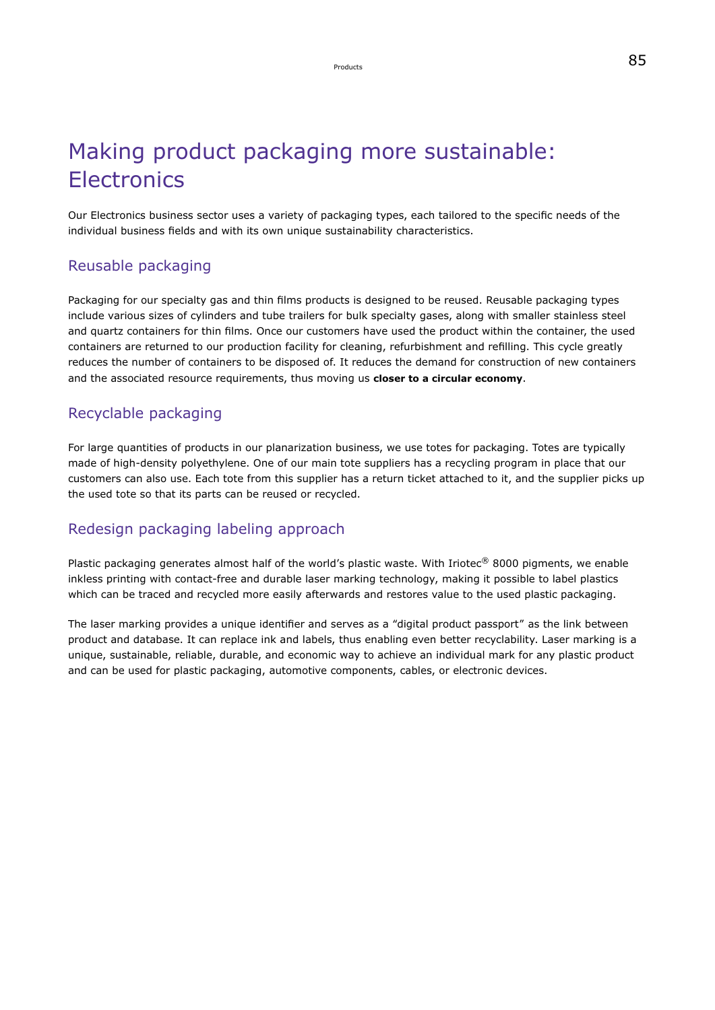# Making product packaging more sustainable: **Electronics**

Our Electronics business sector uses a variety of packaging types, each tailored to the specific needs of the individual business fields and with its own unique sustainability characteristics.

## Reusable packaging

Packaging for our specialty gas and thin films products is designed to be reused. Reusable packaging types include various sizes of cylinders and tube trailers for bulk specialty gases, along with smaller stainless steel and quartz containers for thin films. Once our customers have used the product within the container, the used containers are returned to our production facility for cleaning, refurbishment and refilling. This cycle greatly reduces the number of containers to be disposed of. It reduces the demand for construction of new containers and the associated resource requirements, thus moving us **closer to a circular economy**.

# Recyclable packaging

For large quantities of products in our planarization business, we use totes for packaging. Totes are typically made of high-density polyethylene. One of our main tote suppliers has a recycling program in place that our customers can also use. Each tote from this supplier has a return ticket attached to it, and the supplier picks up the used tote so that its parts can be reused or recycled.

## Redesign packaging labeling approach

Plastic packaging generates almost half of the world's plastic waste. With Iriotec® 8000 pigments, we enable inkless printing with contact-free and durable laser marking technology, making it possible to label plastics which can be traced and recycled more easily afterwards and restores value to the used plastic packaging.

The laser marking provides a unique identifier and serves as a "digital product passport" as the link between product and database. It can replace ink and labels, thus enabling even better recyclability. Laser marking is a unique, sustainable, reliable, durable, and economic way to achieve an individual mark for any plastic product and can be used for plastic packaging, automotive components, cables, or electronic devices.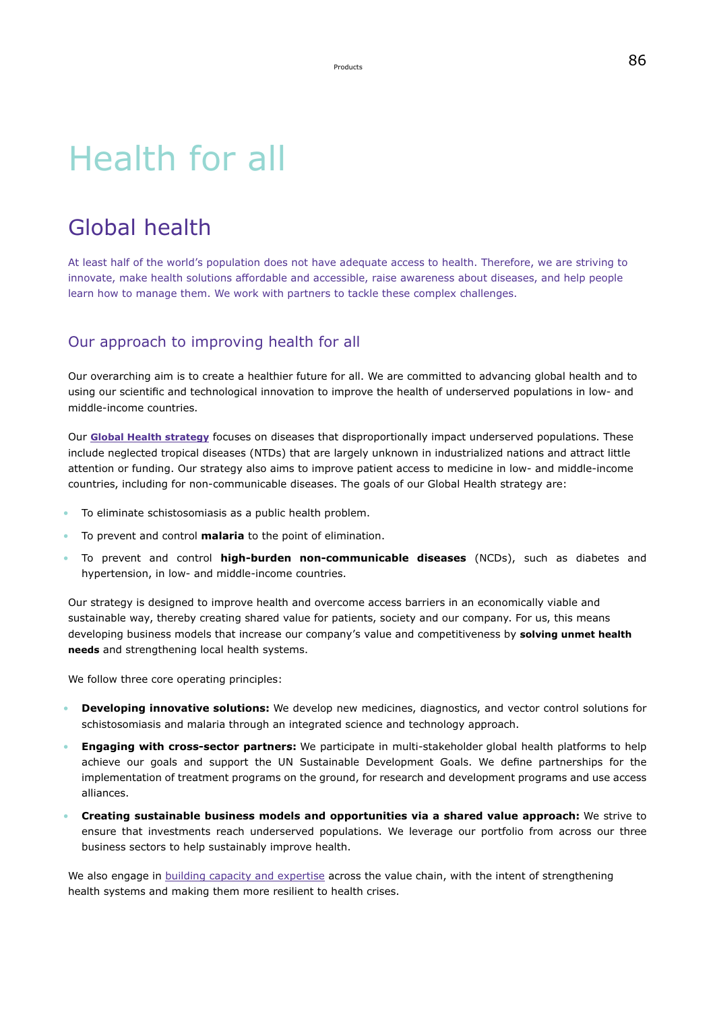# Health for all

# Global health

At least half of the world's population does not have adequate access to health. Therefore, we are striving to innovate, make health solutions affordable and accessible, raise awareness about diseases, and help people learn how to manage them. We work with partners to tackle these complex challenges.

### Our approach to improving health for all

Our overarching aim is to create a healthier future for all. We are committed to advancing global health and to using our scientific and technological innovation to improve the health of underserved populations in low- and middle-income countries.

Our **[Global Health strategy](https://www.emdgroup.com/en/sustainability/health-for-all.html)** focuses on diseases that disproportionally impact underserved populations. These include neglected tropical diseases (NTDs) that are largely unknown in industrialized nations and attract little attention or funding. Our strategy also aims to improve patient access to medicine in low- and middle-income countries, including for non-communicable diseases. The goals of our Global Health strategy are:

- To eliminate schistosomiasis as a public health problem.
- To prevent and control **malaria** to the point of elimination.
- To prevent and control **high-burden non-communicable diseases** (NCDs), such as diabetes and hypertension, in low- and middle-income countries.

Our strategy is designed to improve health and overcome access barriers in an economically viable and sustainable way, thereby creating shared value for patients, society and our company. For us, this means developing business models that increase our company's value and competitiveness by **solving unmet health needs** and strengthening local health systems.

We follow three core operating principles:

- **Developing innovative solutions:** We develop new medicines, diagnostics, and vector control solutions for schistosomiasis and malaria through an integrated science and technology approach.
- **Engaging with cross-sector partners:** We participate in multi-stakeholder global health platforms to help achieve our goals and support the UN Sustainable Development Goals. We define partnerships for the implementation of treatment programs on the ground, for research and development programs and use access alliances.
- **Creating sustainable business models and opportunities via a shared value approach:** We strive to ensure that investments reach underserved populations. We leverage our portfolio from across our three business sectors to help sustainably improve health.

We also engage in [building capacity and expertise](#page-96-0) across the value chain, with the intent of strengthening health systems and making them more resilient to health crises.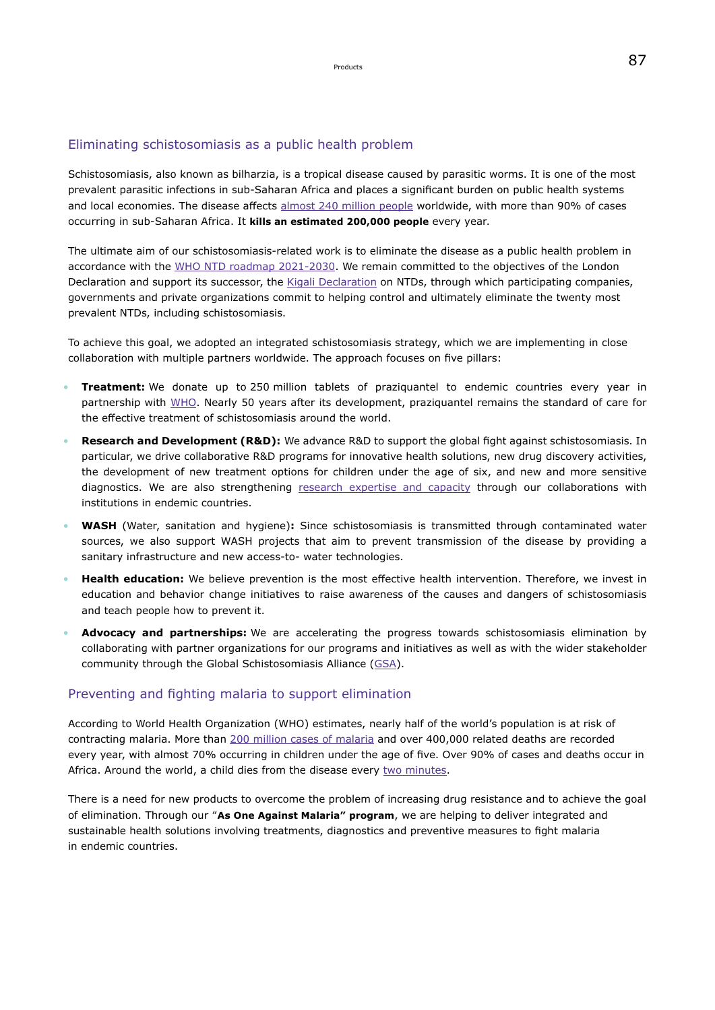#### Eliminating schistosomiasis as a public health problem

Schistosomiasis, also known as bilharzia, is a tropical disease caused by parasitic worms. It is one of the most prevalent parasitic infections in sub-Saharan Africa and places a significant burden on public health systems and local economies. The disease affects [almost](https://www.who.int/health-topics/schistosomiasis#tab=tab_1) 240 million people worldwide, with more than 90% of cases occurring in sub-Saharan Africa. It **kills an estimated 200,000 people** every year.

The ultimate aim of our schistosomiasis-related work is to eliminate the disease as a public health problem in accordance with the [WHO NTD roadmap 2021-2030](https://apps.who.int/iris/rest/bitstreams/1326801/retrieve). We remain committed to the objectives of the London Declaration and support its successor, the [Kigali Declaration](https://unitingtocombatntds.org/kigali-declaration/) on NTDs, through which participating companies, governments and private organizations commit to helping control and ultimately eliminate the twenty most prevalent NTDs, including schistosomiasis.

To achieve this goal, we adopted an integrated schistosomiasis strategy, which we are implementing in close collaboration with multiple partners worldwide. The approach focuses on five pillars:

- **Treatment:** We donate up to 250 million tablets of praziquantel to endemic countries every year in partnership with [WHO.](https://www.who.int/) Nearly 50 years after its development, praziquantel remains the standard of care for the effective treatment of schistosomiasis around the world.
- **Research and Development (R&D):** We advance R&D to support the global fight against schistosomiasis. In particular, we drive collaborative R&D programs for innovative health solutions, new drug discovery activities, the development of new treatment options for children under the age of six, and new and more sensitive diagnostics. We are also strengthening [research expertise and capacity](#page-96-0) through our collaborations with institutions in endemic countries.
- **WASH** (Water, sanitation and hygiene)**:** Since schistosomiasis is transmitted through contaminated water sources, we also support WASH projects that aim to prevent transmission of the disease by providing a sanitary infrastructure and new access-to- water technologies.
- **Health education:** We believe prevention is the most effective health intervention. Therefore, we invest in education and behavior change initiatives to raise awareness of the causes and dangers of schistosomiasis and teach people how to prevent it.
- **Advocacy and partnerships:** We are accelerating the progress towards schistosomiasis elimination by collaborating with partner organizations for our programs and initiatives as well as with the wider stakeholder community through the Global Schistosomiasis Alliance ([GSA](https://www.eliminateschisto.org/)).

#### Preventing and fighting malaria to support elimination

According to World Health Organization (WHO) estimates, nearly half of the world's population is at risk of contracting malaria. More than 200 million [cases of malaria](https://www.who.int/news-room/fact-sheets/detail/malaria) and over 400,000 related deaths are recorded every year, with almost 70% occurring in children under the age of five. Over 90% of cases and deaths occur in Africa. Around the world, a child dies from the disease every [two minutes.](https://www.who.int/news-room/facts-in-pictures/detail/malaria)

There is a need for new products to overcome the problem of increasing drug resistance and to achieve the goal of elimination. Through our "**As One Against Malaria" program**, we are helping to deliver integrated and sustainable health solutions involving treatments, diagnostics and preventive measures to fight malaria in endemic countries.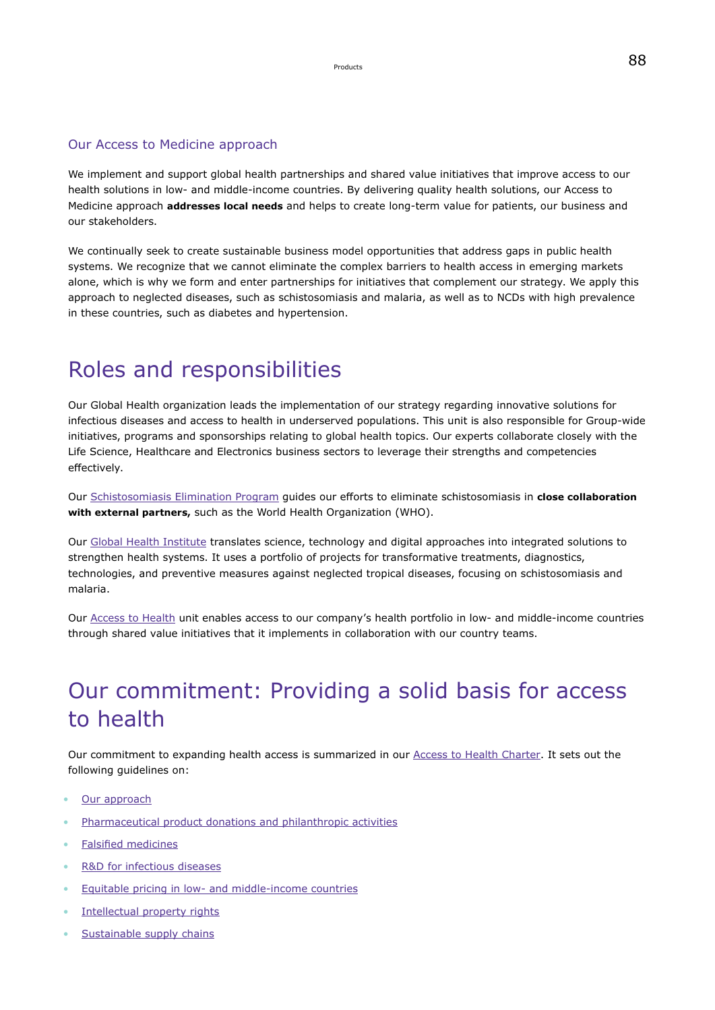#### Our Access to Medicine approach

We implement and support global health partnerships and shared value initiatives that improve access to our health solutions in low- and middle-income countries. By delivering quality health solutions, our Access to Medicine approach **addresses local needs** and helps to create long-term value for patients, our business and our stakeholders.

We continually seek to create sustainable business model opportunities that address gaps in public health systems. We recognize that we cannot eliminate the complex barriers to health access in emerging markets alone, which is why we form and enter partnerships for initiatives that complement our strategy. We apply this approach to neglected diseases, such as schistosomiasis and malaria, as well as to NCDs with high prevalence in these countries, such as diabetes and hypertension.

# Roles and responsibilities

Our Global Health organization leads the implementation of our strategy regarding innovative solutions for infectious diseases and access to health in underserved populations. This unit is also responsible for Group-wide initiatives, programs and sponsorships relating to global health topics. Our experts collaborate closely with the Life Science, Healthcare and Electronics business sectors to leverage their strengths and competencies effectively.

Our Schistosomiasis [Elimination Program](https://www.emdgroup.com/en/sustainability/health-for-all/schistosomiasis.html) guides our efforts to eliminate schistosomiasis in **close collaboration with external partners,** such as the World Health Organization (WHO).

Our [Global Health Institute](https://www.emdgroup.com/en/sustainability/health-for-all/innovation-for-all.html) translates science, technology and digital approaches into integrated solutions to strengthen health systems. It uses a portfolio of projects for transformative treatments, diagnostics, technologies, and preventive measures against neglected tropical diseases, focusing on schistosomiasis and malaria.

Our [Access to Health](https://www.emdgroup.com/en/sustainability/health-for-all/schistosomiasis.html) unit enables access to our company's health portfolio in low- and middle-income countries through shared value initiatives that it implements in collaboration with our country teams.

# Our commitment: Providing a solid basis for access to health

Our commitment to expanding health access is summarized in our [Access to Health Charter](https://www.emdgroup.com/en/sustainability/reports-and-guidelines.html). It sets out the following guidelines on:

- [Our approach](https://www.emdgroup.com/content/dam/web/corporate/non-images/company/responsibility/en/regulations-and-guidelines/OurApproach.pdf)
- [Pharmaceutical product donations and philanthropic activities](https://www.emdgroup.com/content/dam/web/corporate/non-images/company/responsibility/us/regulations-and-guidelines/responsibility-regulations-charter-pharmaceutical-product-donations-us.pdf)
- [Falsified medicines](https://www.emdgroup.com/content/dam/web/corporate/non-images/company/responsibility/us/regulations-and-guidelines/responsibility-regulations-charter-fake-medicines-us.pdf)
- [R&D for infectious diseases](https://www.emdgroup.com/content/dam/web/corporate/non-images/company/responsibility/us/regulations-and-guidelines/responsibility-regulations-charter-rd-for-ntds-us.pdf)
- [Equitable pricing in low- and middle-income countries](https://www.emdgroup.com/content/dam/web/corporate/non-images/company/responsibility/us/regulations-and-guidelines/responsibility-regulations-charter-pharmaceutical-product-pricing-us.pdf)
- [Intellectual property rights](https://www.emdgroup.com/content/dam/web/corporate/non-images/company/responsibility/us/regulations-and-guidelines/responsibility-regulations-charter-intellectual-property-us.pdf)
- [Sustainable supply chains](https://www.emdgroup.com/content/dam/web/corporate/non-images/company/responsibility/us/regulations-and-guidelines/supply-chain-us.pdf)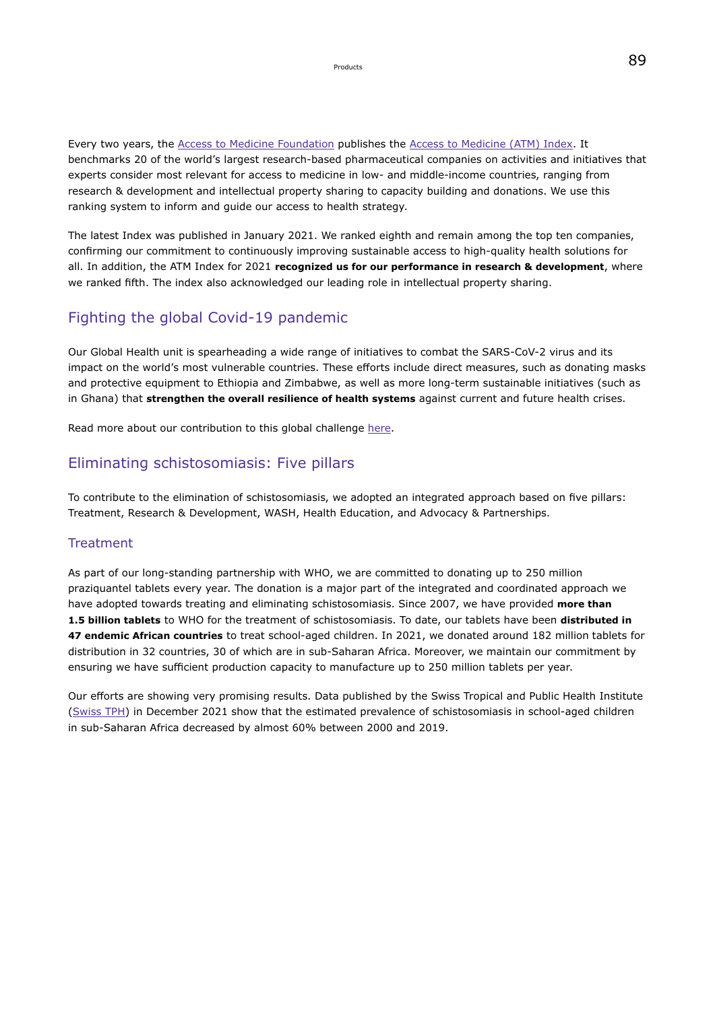Every two years, the [Access to Medicine Foundation](https://accesstomedicinefoundation.org/) publishes the [Access to Medicine \(ATM\) Index](https://accesstomedicineindex.org/). It benchmarks 20 of the world's largest research-based pharmaceutical companies on activities and initiatives that experts consider most relevant for access to medicine in low- and middle-income countries, ranging from research & development and intellectual property sharing to capacity building and donations. We use this ranking system to inform and guide our access to health strategy.

The latest Index was published in January 2021. We ranked eighth and remain among the top ten companies, confirming our commitment to continuously improving sustainable access to high-quality health solutions for all. In addition, the ATM Index for 2021 **recognized us for our performance in research & development**, where we ranked fifth. The index also acknowledged our leading role in intellectual property sharing.

#### Fighting the global Covid-19 pandemic

Our Global Health unit is spearheading a wide range of initiatives to combat the SARS-CoV-2 virus and its impact on the world's most vulnerable countries. These efforts include direct measures, such as donating masks and protective equipment to Ethiopia and Zimbabwe, as well as more long-term sustainable initiatives (such as in Ghana) that **strengthen the overall resilience of health systems** against current and future health crises.

Read more about our contribution to this global challenge [here](https://www.emdgroup.com/en/company/press/press-kits/corona-pandemic/global-health-in-times-of-covid-19.html).

#### Eliminating schistosomiasis: Five pillars

To contribute to the elimination of schistosomiasis, we adopted an integrated approach based on five pillars: Treatment, Research & Development, WASH, Health Education, and Advocacy & Partnerships.

#### **Treatment**

As part of our long-standing partnership with WHO, we are committed to donating up to 250 million praziquantel tablets every year. The donation is a major part of the integrated and coordinated approach we have adopted towards treating and eliminating schistosomiasis. Since 2007, we have provided **more than 1.5 billion tablets** to WHO for the treatment of schistosomiasis. To date, our tablets have been **distributed in 47 endemic African countries** to treat school-aged children. In 2021, we donated around 182 million tablets for distribution in 32 countries, 30 of which are in sub-Saharan Africa. Moreover, we maintain our commitment by ensuring we have sufficient production capacity to manufacture up to 250 million tablets per year.

Our efforts are showing very promising results. Data published by the Swiss Tropical and Public Health Institute ([Swiss TPH](https://www.swisstph.ch/en/)) in December 2021 show that the estimated prevalence of schistosomiasis in school-aged children in sub-Saharan Africa decreased by almost 60% between 2000 and 2019.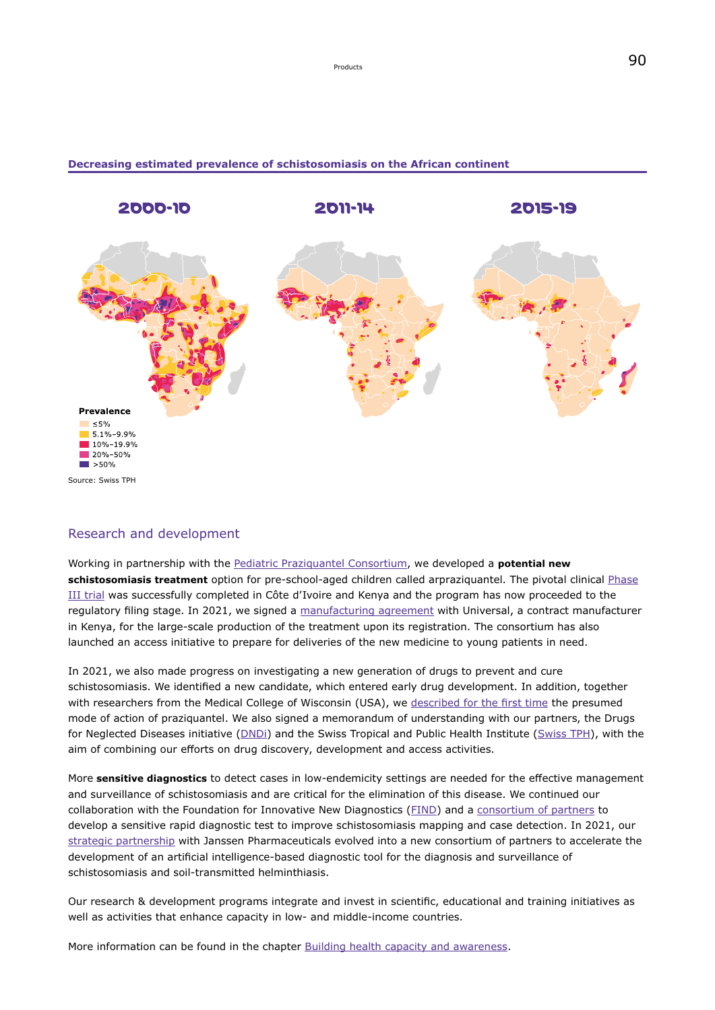#### **Decreasing estimated prevalence of schistosomiasis on the African continent**



#### Research and development

Working in partnership with the [Pediatric Praziquantel Consortium](https://www.pediatricpraziquantelconsortium.org/), we developed a **potential new schistosomiasis treatment** option for pre-school-aged children called arpraziquantel. The pivotal clinical [Phase](https://www.emdgroup.com/en/news/phase-three-results-for-arpraziquantel-16-11-2021.html) [III trial](https://www.emdgroup.com/en/news/phase-three-results-for-arpraziquantel-16-11-2021.html) was successfully completed in Côte d'Ivoire and Kenya and the program has now proceeded to the regulatory filing stage. In 2021, we signed a [manufacturing agreement](https://www.emdgroup.com/en/news/contract-manufacturing-pediatric-medication.html) with Universal, a contract manufacturer in Kenya, for the large-scale production of the treatment upon its registration. The consortium has also launched an access initiative to prepare for deliveries of the new medicine to young patients in need.

In 2021, we also made progress on investigating a new generation of drugs to prevent and cure schistosomiasis. We identified a new candidate, which entered early drug development. In addition, together with researchers from the Medical College of Wisconsin (USA), we [described for the first time](https://www.biorxiv.org/content/10.1101/2021.03.09.434291v1) the presumed mode of action of praziquantel. We also signed a memorandum of understanding with our partners, the Drugs for Neglected Diseases initiative [\(DNDi](https://dndi.org/)) and the Swiss Tropical and Public Health Institute ([Swiss TPH\)](https://www.swisstph.ch/en/), with the aim of combining our efforts on drug discovery, development and access activities.

More **sensitive diagnostics** to detect cases in low-endemicity settings are needed for the effective management and surveillance of schistosomiasis and are critical for the elimination of this disease. We continued our collaboration with the Foundation for Innovative New Diagnostics [\(FIND\)](https://www.finddx.org/) and a [consortium of partners](https://www.finddx.org/newsroom/pr-12oct20/) to develop a sensitive rapid diagnostic test to improve schistosomiasis mapping and case detection. In 2021, our [strategic partnership](https://www.emdgroup.com/en/news/ai-development-with-janssen-02-07-2020.html) with Janssen Pharmaceuticals evolved into a new consortium of partners to accelerate the development of an artificial intelligence-based diagnostic tool for the diagnosis and surveillance of schistosomiasis and soil-transmitted helminthiasis.

Our research & development programs integrate and invest in scientific, educational and training initiatives as well as activities that enhance capacity in low- and middle-income countries.

More information can be found in the chapter [Building health capacity and awareness.](#page-96-0)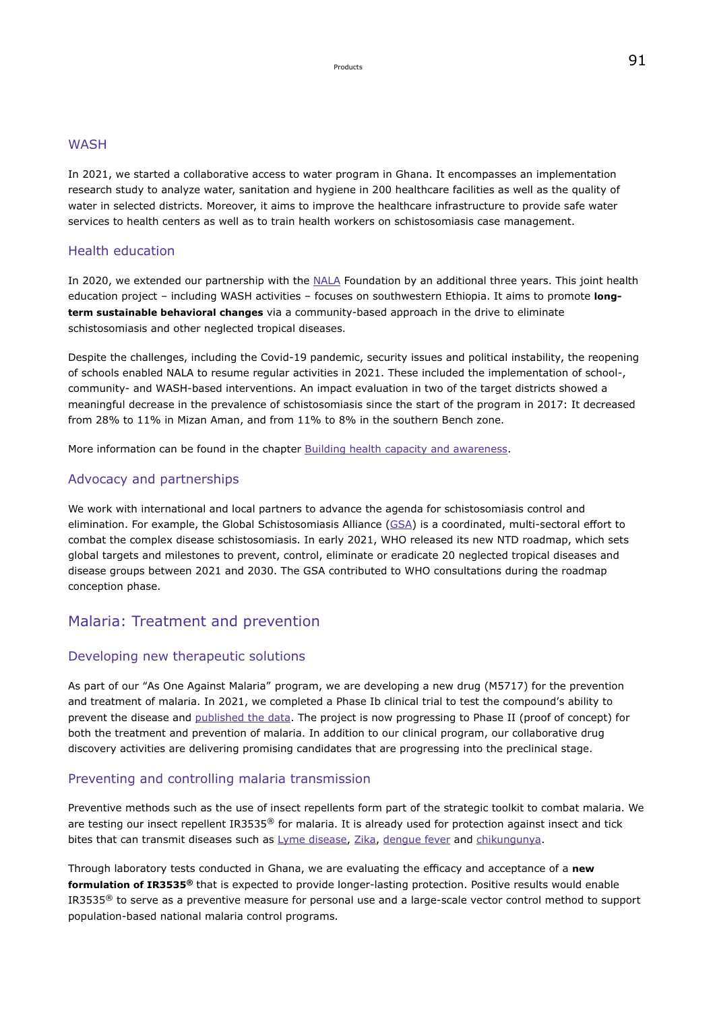#### **WASH**

In 2021, we started a collaborative access to water program in Ghana. It encompasses an implementation research study to analyze water, sanitation and hygiene in 200 healthcare facilities as well as the quality of water in selected districts. Moreover, it aims to improve the healthcare infrastructure to provide safe water services to health centers as well as to train health workers on schistosomiasis case management.

#### Health education

In 2020, we extended our partnership with the [NALA](https://www.nalafoundation.org/) Foundation by an additional three years. This joint health education project – including WASH activities – focuses on southwestern Ethiopia. It aims to promote **longterm sustainable behavioral changes** via a community-based approach in the drive to eliminate schistosomiasis and other neglected tropical diseases.

Despite the challenges, including the Covid-19 pandemic, security issues and political instability, the reopening of schools enabled NALA to resume regular activities in 2021. These included the implementation of school-, community- and WASH-based interventions. An impact evaluation in two of the target districts showed a meaningful decrease in the prevalence of schistosomiasis since the start of the program in 2017: It decreased from 28% to 11% in Mizan Aman, and from 11% to 8% in the southern Bench zone.

More information can be found in the chapter [Building health capacity and awareness.](#page-96-0)

#### Advocacy and partnerships

We work with international and local partners to advance the agenda for schistosomiasis control and elimination. For example, the Global Schistosomiasis Alliance ([GSA](http://eliminateschisto.org/)) is a coordinated, multi-sectoral effort to combat the complex disease schistosomiasis. In early 2021, WHO released its new NTD roadmap, which sets global targets and milestones to prevent, control, eliminate or eradicate 20 neglected tropical diseases and disease groups between 2021 and 2030. The GSA contributed to WHO consultations during the roadmap conception phase.

#### Malaria: Treatment and prevention

#### Developing new therapeutic solutions

As part of our "As One Against Malaria" program, we are developing a new drug (M5717) for the prevention and treatment of malaria. In 2021, we completed a Phase Ib clinical trial to test the compound's ability to prevent the disease and [published the data](https://www.thelancet.com/journals/laninf/article/PIIS1473-3099(21)00252-8/fulltext). The project is now progressing to Phase II (proof of concept) for both the treatment and prevention of malaria. In addition to our clinical program, our collaborative drug discovery activities are delivering promising candidates that are progressing into the preclinical stage.

#### Preventing and controlling malaria transmission

Preventive methods such as the use of insect repellents form part of the strategic toolkit to combat malaria. We are testing our insect repellent IR3535® for malaria. It is already used for protection against insect and tick bites that can transmit diseases such as [Lyme disease,](https://www.euro.who.int/__data/assets/pdf_file/0008/246167/Fact-sheet-Lyme-borreliosis-Eng.pdf) [Zika](https://www.who.int/news-room/fact-sheets/detail/zika-virus), [dengue fever](https://www.who.int/news-room/fact-sheets/detail/dengue-and-severe-dengue) and [chikungunya.](https://www.who.int/news-room/fact-sheets/detail/chikungunya)

Through laboratory tests conducted in Ghana, we are evaluating the efficacy and acceptance of a **new formulation of IR3535®** that is expected to provide longer-lasting protection. Positive results would enable IR3535® to serve as a preventive measure for personal use and a large-scale vector control method to support population-based national malaria control programs.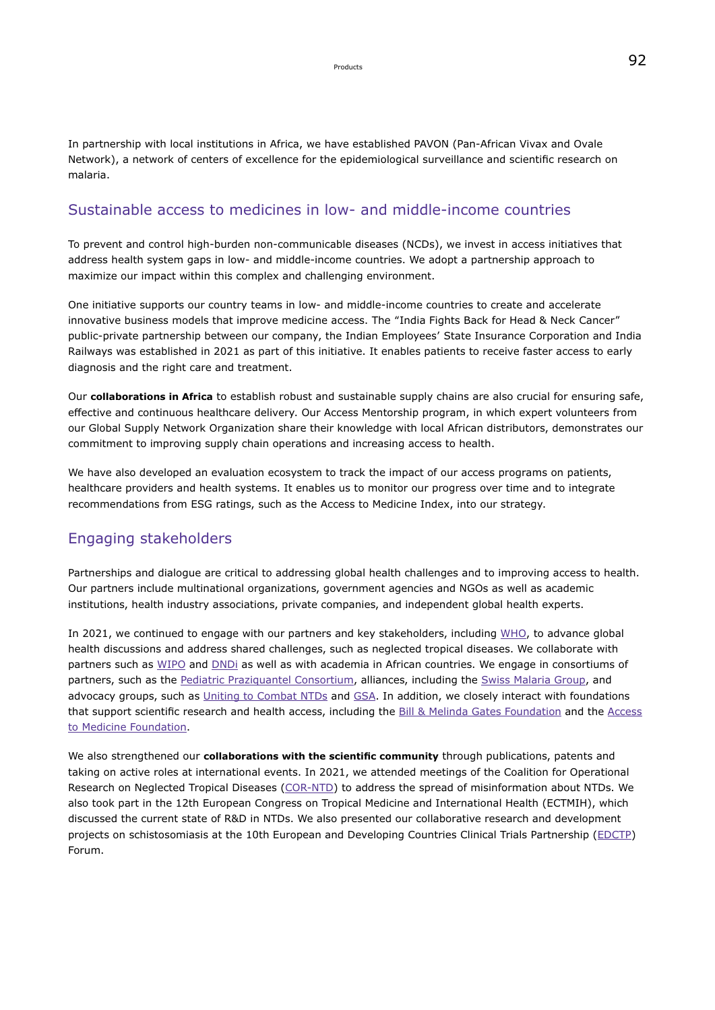In partnership with local institutions in Africa, we have established PAVON (Pan-African Vivax and Ovale Network), a network of centers of excellence for the epidemiological surveillance and scientific research on malaria.

#### Sustainable access to medicines in low- and middle-income countries

To prevent and control high-burden non-communicable diseases (NCDs), we invest in access initiatives that address health system gaps in low- and middle-income countries. We adopt a partnership approach to maximize our impact within this complex and challenging environment.

One initiative supports our country teams in low- and middle-income countries to create and accelerate innovative business models that improve medicine access. The "India Fights Back for Head & Neck Cancer" public-private partnership between our company, the Indian Employees' State Insurance Corporation and India Railways was established in 2021 as part of this initiative. It enables patients to receive faster access to early diagnosis and the right care and treatment.

Our **collaborations in Africa** to establish robust and sustainable supply chains are also crucial for ensuring safe, effective and continuous healthcare delivery. Our Access Mentorship program, in which expert volunteers from our Global Supply Network Organization share their knowledge with local African distributors, demonstrates our commitment to improving supply chain operations and increasing access to health.

We have also developed an evaluation ecosystem to track the impact of our access programs on patients, healthcare providers and health systems. It enables us to monitor our progress over time and to integrate recommendations from ESG ratings, such as the Access to Medicine Index, into our strategy.

# Engaging stakeholders

Partnerships and dialogue are critical to addressing global health challenges and to improving access to health. Our partners include multinational organizations, government agencies and NGOs as well as academic institutions, health industry associations, private companies, and independent global health experts.

In 2021, we continued to engage with our partners and key stakeholders, including  $WHO$ , to advance global health discussions and address shared challenges, such as neglected tropical diseases. We collaborate with partners such as [WIPO](https://www.wipo.int/portal/en/index.html) and [DNDi](https://dndi.org/) as well as with academia in African countries. We engage in consortiums of partners, such as the [Pediatric Praziquantel Consortium,](https://www.pediatricpraziquantelconsortium.org/) alliances, including the [Swiss Malaria Group,](https://www.swissmalariagroup.ch/en/) and advocacy groups, such as [Uniting to Combat NTDs](https://unitingtocombatntds.org/) and [GSA.](https://www.eliminateschisto.org/) In addition, we closely interact with foundations that support scientific research and health access, including the [Bill & Melinda Gates Foundation](https://www.gatesfoundation.org/) and the [Access](https://accesstomedicinefoundation.org/) [to Medicine Foundation](https://accesstomedicinefoundation.org/).

We also strengthened our **collaborations with the scientific community** through publications, patents and taking on active roles at international events. In 2021, we attended meetings of the Coalition for Operational Research on Neglected Tropical Diseases ([COR-NTD\)](https://www.cor-ntd.org/) to address the spread of misinformation about NTDs. We also took part in the 12th European Congress on Tropical Medicine and International Health (ECTMIH), which discussed the current state of R&D in NTDs. We also presented our collaborative research and development projects on schistosomiasis at the 10th European and Developing Countries Clinical Trials Partnership ([EDCTP\)](https://www.edctp.org/) Forum.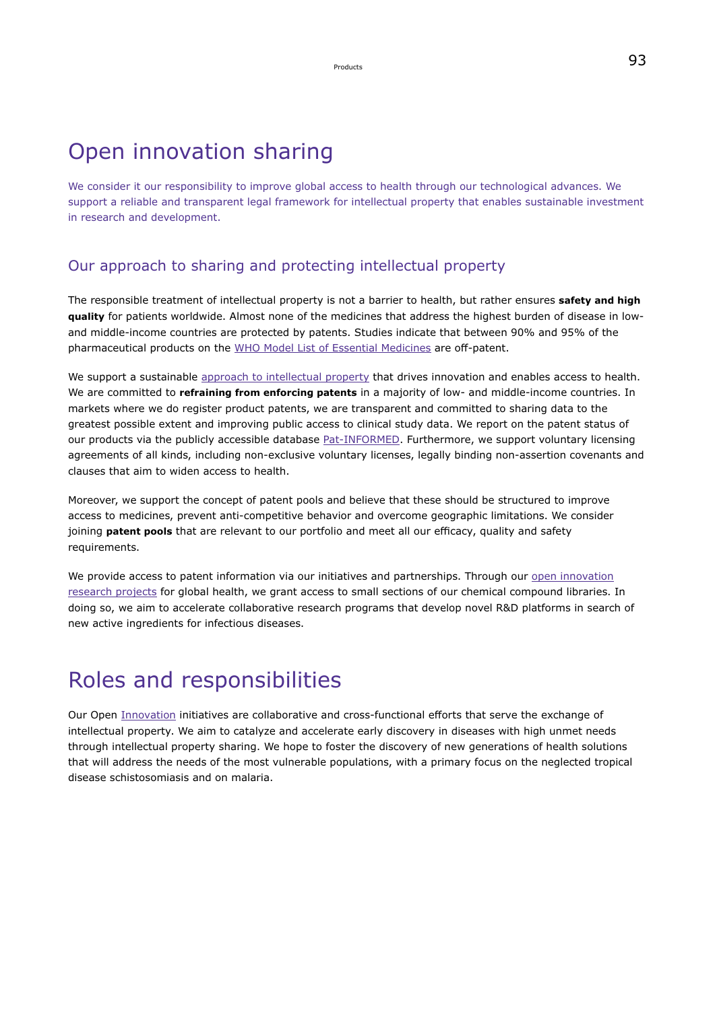# Open innovation sharing

We consider it our responsibility to improve global access to health through our technological advances. We support a reliable and transparent legal framework for intellectual property that enables sustainable investment in research and development.

## Our approach to sharing and protecting intellectual property

The responsible treatment of intellectual property is not a barrier to health, but rather ensures **safety and high quality** for patients worldwide. Almost none of the medicines that address the highest burden of disease in lowand middle-income countries are protected by patents. Studies indicate that between 90% and 95% of the pharmaceutical products on the [WHO Model List of Essential Medicines](https://www.who.int/publications/i/item/WHO-MHP-HPS-EML-2021.02) are off-patent.

We support a sustainable [approach to intellectual property](https://www.emdgroup.com/company/responsibility/en/regulations-and-guidelines/intellectual-property.pdf) that drives innovation and enables access to health. We are committed to **refraining from enforcing patents** in a majority of low- and middle-income countries. In markets where we do register product patents, we are transparent and committed to sharing data to the greatest possible extent and improving public access to clinical study data. We report on the patent status of our products via the publicly accessible database [Pat-INFORMED.](https://www.wipo.int/pat-informed/en/) Furthermore, we support voluntary licensing agreements of all kinds, including non-exclusive voluntary licenses, legally binding non-assertion covenants and clauses that aim to widen access to health.

Moreover, we support the concept of patent pools and believe that these should be structured to improve access to medicines, prevent anti-competitive behavior and overcome geographic limitations. We consider joining **patent pools** that are relevant to our portfolio and meet all our efficacy, quality and safety requirements.

We provide access to patent information via our initiatives and partnerships. Through our [open innovation](https://www.emdgroup.com/en/responsibility/health-for-all/innovation-for-all/open-innovation-for-global-health.html) [research projects](https://www.emdgroup.com/en/responsibility/health-for-all/innovation-for-all/open-innovation-for-global-health.html) for global health, we grant access to small sections of our chemical compound libraries. In doing so, we aim to accelerate collaborative research programs that develop novel R&D platforms in search of new active ingredients for infectious diseases.

# Roles and responsibilities

Our Open [Innovation](#page-70-0) initiatives are collaborative and cross-functional efforts that serve the exchange of intellectual property. We aim to catalyze and accelerate early discovery in diseases with high unmet needs through intellectual property sharing. We hope to foster the discovery of new generations of health solutions that will address the needs of the most vulnerable populations, with a primary focus on the neglected tropical disease schistosomiasis and on malaria.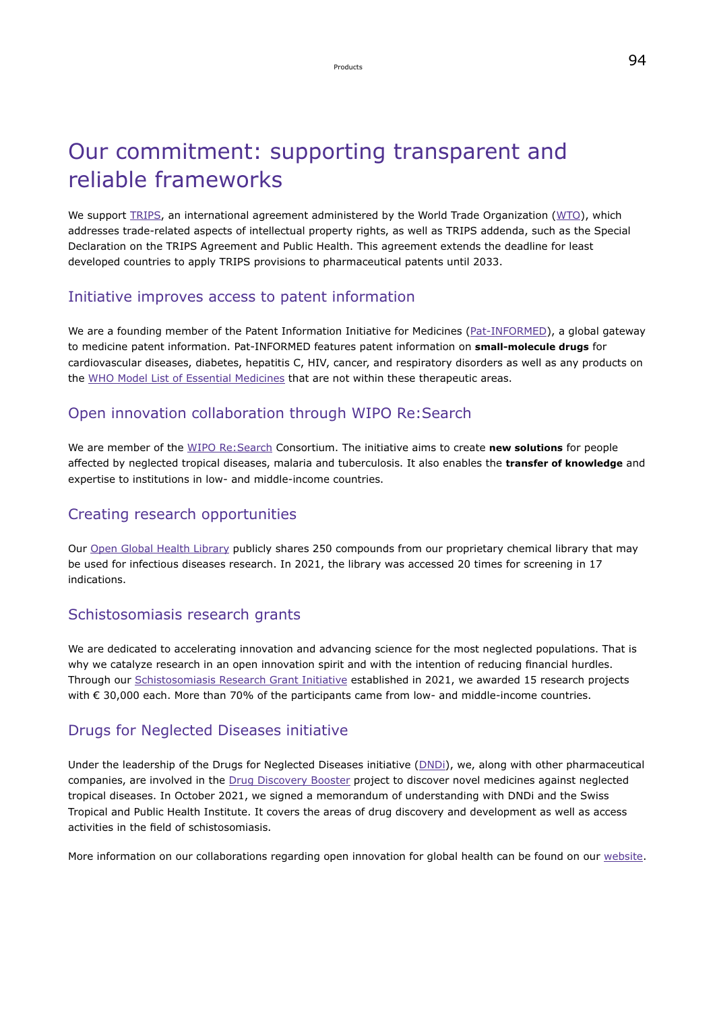# Our commitment: supporting transparent and reliable frameworks

We support [TRIPS,](https://www.wto.org/english/tratop_e/trips_e/trips_e.htm) an international agreement administered by the World Trade Organization [\(WTO](https://www.wto.org/english/tratop_e/trips_e/trips_e.htm)), which addresses trade-related aspects of intellectual property rights, as well as TRIPS addenda, such as the Special Declaration on the TRIPS Agreement and Public Health. This agreement extends the deadline for least developed countries to apply TRIPS provisions to pharmaceutical patents until 2033.

### Initiative improves access to patent information

We are a founding member of the Patent Information Initiative for Medicines ([Pat-INFORMED](https://www.wipo.int/pat-informed/en/)), a global gateway to medicine patent information. Pat-INFORMED features patent information on **small-molecule drugs** for cardiovascular diseases, diabetes, hepatitis C, HIV, cancer, and respiratory disorders as well as any products on the [WHO Model List of Essential Medicines](https://www.who.int/publications/i/item/WHO-MHP-HPS-EML-2021.02) that are not within these therapeutic areas.

# Open innovation collaboration through WIPO Re:Search

We are member of the [WIPO Re:Search](https://www.wipo.int/research/en/) Consortium. The initiative aims to create **new solutions** for people affected by neglected tropical diseases, malaria and tuberculosis. It also enables the **transfer of knowledge** and expertise to institutions in low- and middle-income countries.

## Creating research opportunities

Our [Open Global Health Library](https://www.emdgroup.com/en/research/open-innovation/biopharma-open-innovation-portal/open-global-health-library.html) publicly shares 250 compounds from our proprietary chemical library that may be used for infectious diseases research. In 2021, the library was accessed 20 times for screening in 17 indications.

## Schistosomiasis research grants

We are dedicated to accelerating innovation and advancing science for the most neglected populations. That is why we catalyze research in an open innovation spirit and with the intention of reducing financial hurdles. Through our [Schistosomiasis Research Grant Initiative](https://www.emdgroup.com/en/sustainability/health-for-all/innovation-for-all/open-innovation-for-global-health/schistosomiasis-research-grant.html) established in 2021, we awarded 15 research projects with € 30,000 each. More than 70% of the participants came from low- and middle-income countries.

## Drugs for Neglected Diseases initiative

Under the leadership of the Drugs for Neglected Diseases initiative ( $DNDi$ ), we, along with other pharmaceutical companies, are involved in the [Drug Discovery Booster](https://dndi.org/news/2020/five-years-of-the-ntd-drug-discovery-booster/) project to discover novel medicines against neglected tropical diseases. In October 2021, we signed a memorandum of understanding with DNDi and the Swiss Tropical and Public Health Institute. It covers the areas of drug discovery and development as well as access activities in the field of schistosomiasis.

More information on our collaborations regarding open innovation for global health can be found on our [website](https://www.emdgroup.com/en/sustainability/health-for-all/innovation-for-all/open-innovation-for-global-health.html).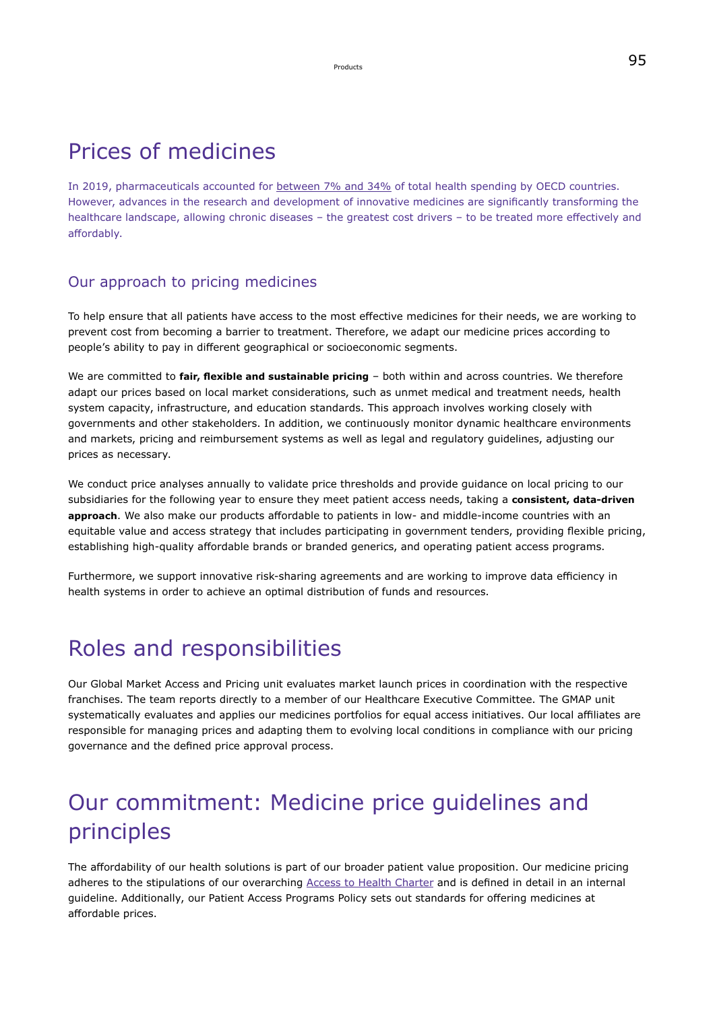# Prices of medicines

In 2019, pharmaceuticals accounted for [between 7% and 34%](https://data.oecd.org/healthres/pharmaceutical-spending.htm) of total health spending by OECD countries. However, advances in the research and development of innovative medicines are significantly transforming the healthcare landscape, allowing chronic diseases – the greatest cost drivers – to be treated more effectively and affordably.

### Our approach to pricing medicines

To help ensure that all patients have access to the most effective medicines for their needs, we are working to prevent cost from becoming a barrier to treatment. Therefore, we adapt our medicine prices according to people's ability to pay in different geographical or socioeconomic segments.

We are committed to **fair, flexible and sustainable pricing** – both within and across countries. We therefore adapt our prices based on local market considerations, such as unmet medical and treatment needs, health system capacity, infrastructure, and education standards. This approach involves working closely with governments and other stakeholders. In addition, we continuously monitor dynamic healthcare environments and markets, pricing and reimbursement systems as well as legal and regulatory guidelines, adjusting our prices as necessary.

We conduct price analyses annually to validate price thresholds and provide guidance on local pricing to our subsidiaries for the following year to ensure they meet patient access needs, taking a **consistent, data-driven approach**. We also make our products affordable to patients in low- and middle-income countries with an equitable value and access strategy that includes participating in government tenders, providing flexible pricing, establishing high-quality affordable brands or branded generics, and operating patient access programs.

Furthermore, we support innovative risk-sharing agreements and are working to improve data efficiency in health systems in order to achieve an optimal distribution of funds and resources.

# Roles and responsibilities

Our Global Market Access and Pricing unit evaluates market launch prices in coordination with the respective franchises. The team reports directly to a member of our Healthcare Executive Committee. The GMAP unit systematically evaluates and applies our medicines portfolios for equal access initiatives. Our local affiliates are responsible for managing prices and adapting them to evolving local conditions in compliance with our pricing governance and the defined price approval process.

# Our commitment: Medicine price guidelines and principles

The affordability of our health solutions is part of our broader patient value proposition. Our medicine pricing adheres to the stipulations of our overarching [Access to Health Charter](https://www.emdgroup.com/content/dam/web/corporate/non-images/company/responsibility/us/regulations-and-guidelines/responsibility-regulations-charter-pharmaceutical-product-pricing-us.pdf) and is defined in detail in an internal guideline. Additionally, our Patient Access Programs Policy sets out standards for offering medicines at affordable prices.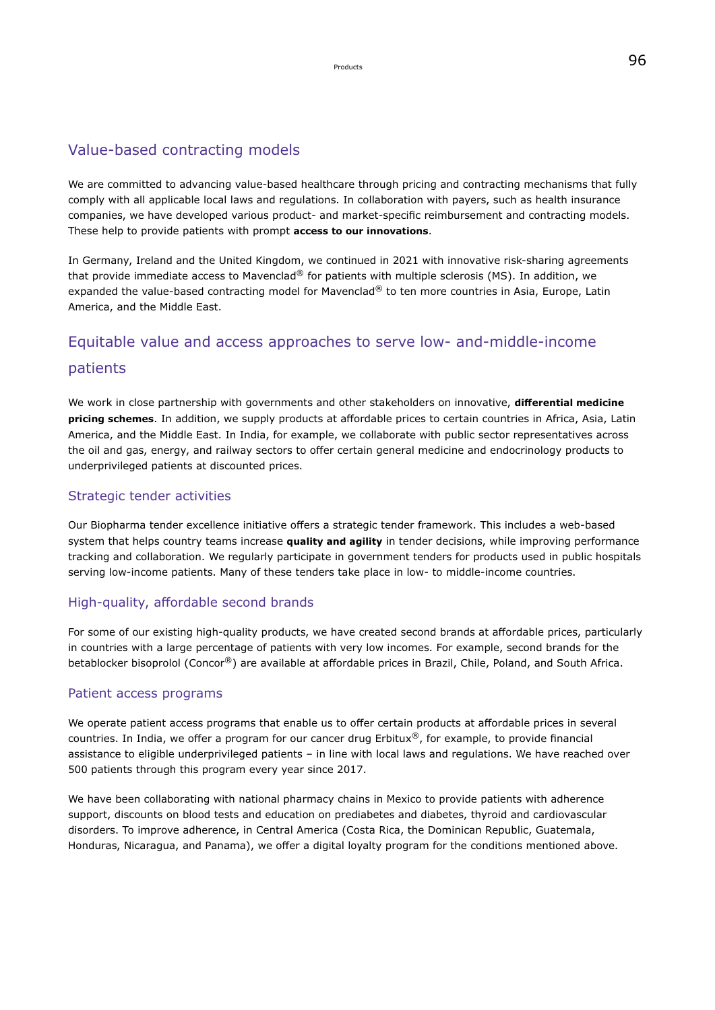### Value-based contracting models

We are committed to advancing value-based healthcare through pricing and contracting mechanisms that fully comply with all applicable local laws and regulations. In collaboration with payers, such as health insurance companies, we have developed various product- and market-specific reimbursement and contracting models. These help to provide patients with prompt **access to our innovations**.

In Germany, Ireland and the United Kingdom, we continued in 2021 with innovative risk-sharing agreements that provide immediate access to Mavenclad® for patients with multiple sclerosis (MS). In addition, we expanded the value-based contracting model for Mavenclad® to ten more countries in Asia, Europe, Latin America, and the Middle East.

# Equitable value and access approaches to serve low- and-middle-income patients

We work in close partnership with governments and other stakeholders on innovative, **differential medicine pricing schemes**. In addition, we supply products at affordable prices to certain countries in Africa, Asia, Latin America, and the Middle East. In India, for example, we collaborate with public sector representatives across the oil and gas, energy, and railway sectors to offer certain general medicine and endocrinology products to underprivileged patients at discounted prices.

#### Strategic tender activities

Our Biopharma tender excellence initiative offers a strategic tender framework. This includes a web-based system that helps country teams increase **quality and agility** in tender decisions, while improving performance tracking and collaboration. We regularly participate in government tenders for products used in public hospitals serving low-income patients. Many of these tenders take place in low- to middle-income countries.

#### High-quality, affordable second brands

For some of our existing high-quality products, we have created second brands at affordable prices, particularly in countries with a large percentage of patients with very low incomes. For example, second brands for the betablocker bisoprolol (Concor®) are available at affordable prices in Brazil, Chile, Poland, and South Africa.

#### Patient access programs

We operate patient access programs that enable us to offer certain products at affordable prices in several countries. In India, we offer a program for our cancer drug Erbitux®, for example, to provide financial assistance to eligible underprivileged patients – in line with local laws and regulations. We have reached over 500 patients through this program every year since 2017.

We have been collaborating with national pharmacy chains in Mexico to provide patients with adherence support, discounts on blood tests and education on prediabetes and diabetes, thyroid and cardiovascular disorders. To improve adherence, in Central America (Costa Rica, the Dominican Republic, Guatemala, Honduras, Nicaragua, and Panama), we offer a digital loyalty program for the conditions mentioned above.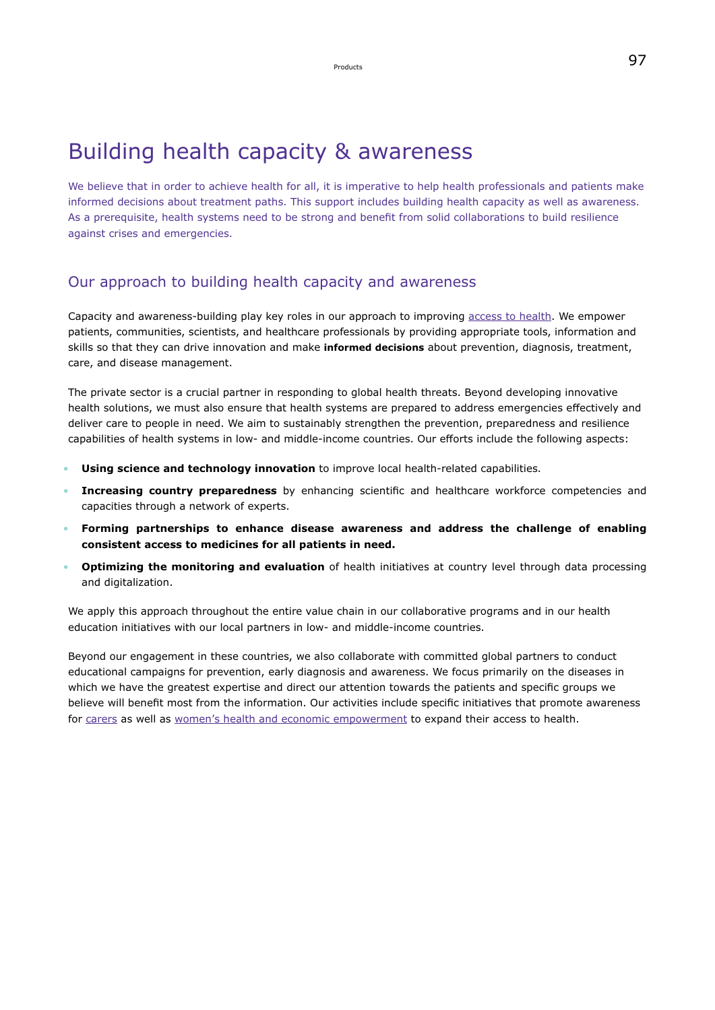# Building health capacity & awareness

We believe that in order to achieve health for all, it is imperative to help health professionals and patients make informed decisions about treatment paths. This support includes building health capacity as well as awareness. As a prerequisite, health systems need to be strong and benefit from solid collaborations to build resilience against crises and emergencies.

### Our approach to building health capacity and awareness

Capacity and awareness-building play key roles in our approach to improving [access to health](#page-85-1). We empower patients, communities, scientists, and healthcare professionals by providing appropriate tools, information and skills so that they can drive innovation and make **informed decisions** about prevention, diagnosis, treatment, care, and disease management.

The private sector is a crucial partner in responding to global health threats. Beyond developing innovative health solutions, we must also ensure that health systems are prepared to address emergencies effectively and deliver care to people in need. We aim to sustainably strengthen the prevention, preparedness and resilience capabilities of health systems in low- and middle-income countries. Our efforts include the following aspects:

- **Using science and technology innovation** to improve local health-related capabilities.
- **Increasing country preparedness** by enhancing scientific and healthcare workforce competencies and capacities through a network of experts.
- **Forming partnerships to enhance disease awareness and address the challenge of enabling consistent access to medicines for all patients in need.**
- **Optimizing the monitoring and evaluation** of health initiatives at country level through data processing and digitalization.

We apply this approach throughout the entire value chain in our collaborative programs and in our health education initiatives with our local partners in low- and middle-income countries.

Beyond our engagement in these countries, we also collaborate with committed global partners to conduct educational campaigns for prevention, early diagnosis and awareness. We focus primarily on the diseases in which we have the greatest expertise and direct our attention towards the patients and specific groups we believe will benefit most from the information. Our activities include specific initiatives that promote awareness for [carers](#page-101-0) as well as [women's health and economic empowerment](#page-101-1) to expand their access to health.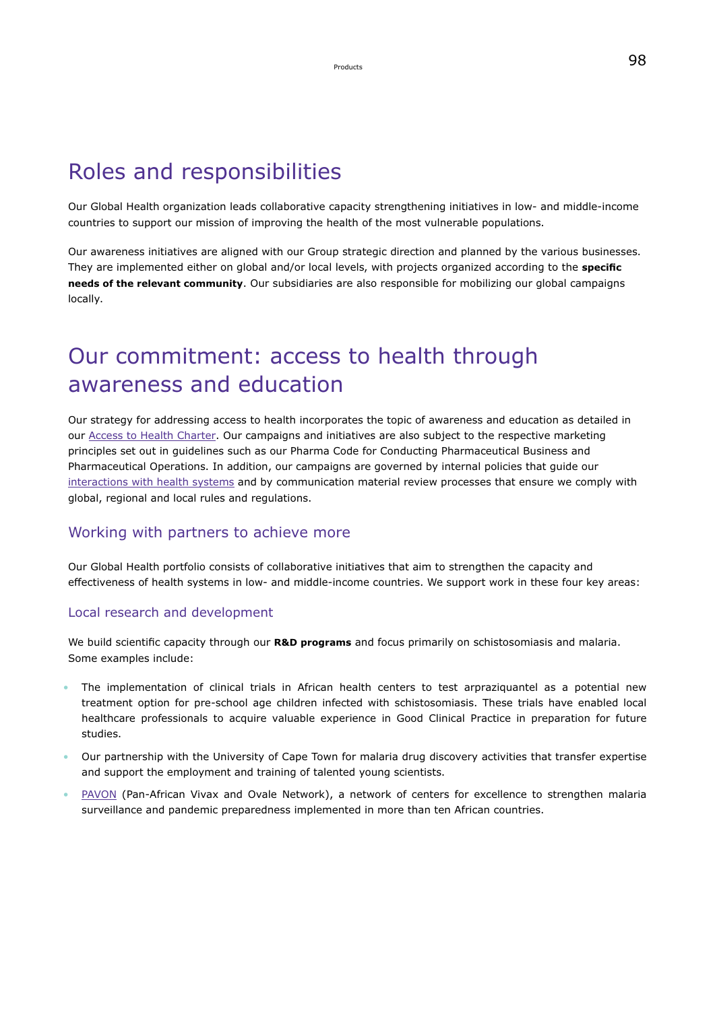# Roles and responsibilities

Our Global Health organization leads collaborative capacity strengthening initiatives in low- and middle-income countries to support our mission of improving the health of the most vulnerable populations.

Our awareness initiatives are aligned with our Group strategic direction and planned by the various businesses. They are implemented either on global and/or local levels, with projects organized according to the **specific needs of the relevant community**. Our subsidiaries are also responsible for mobilizing our global campaigns locally.

# Our commitment: access to health through awareness and education

Our strategy for addressing access to health incorporates the topic of awareness and education as detailed in our [Access to Health Charter.](https://www.emdgroup.com/en/sustainability/reports-and-guidelines.html) Our campaigns and initiatives are also subject to the respective marketing principles set out in guidelines such as our Pharma Code for Conducting Pharmaceutical Business and Pharmaceutical Operations. In addition, our campaigns are governed by internal policies that guide our [interactions with](#page-35-0) health systems and by communication material review processes that ensure we comply with global, regional and local rules and regulations.

### Working with partners to achieve more

Our Global Health portfolio consists of collaborative initiatives that aim to strengthen the capacity and effectiveness of health systems in low- and middle-income countries. We support work in these four key areas:

#### Local research and development

We build scientific capacity through our **R&D programs** and focus primarily on schistosomiasis and malaria. Some examples include:

- The implementation of clinical trials in African health centers to test arpraziquantel as a potential new treatment option for pre-school age children infected with schistosomiasis. These trials have enabled local healthcare professionals to acquire valuable experience in Good Clinical Practice in preparation for future studies.
- Our partnership with the University of Cape Town for malaria drug discovery activities that transfer expertise and support the employment and training of talented young scientists.
- [PAVON](https://pavon.africa/index.html) (Pan-African Vivax and Ovale Network), a network of centers for excellence to strengthen malaria surveillance and pandemic preparedness implemented in more than ten African countries.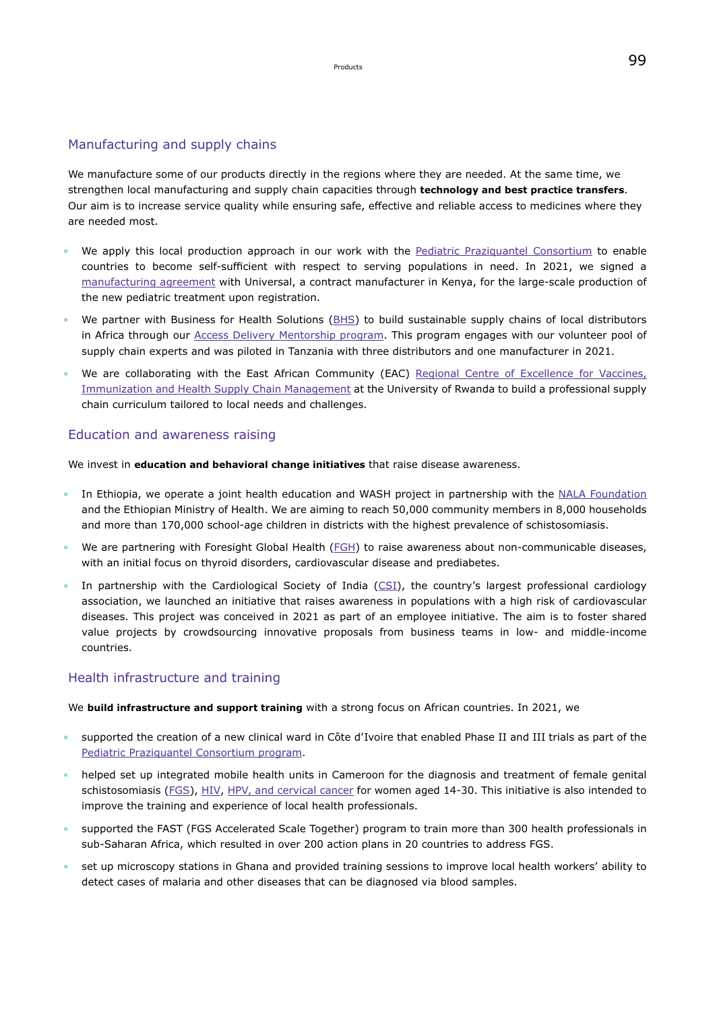#### Manufacturing and supply chains

We manufacture some of our products directly in the regions where they are needed. At the same time, we strengthen local manufacturing and supply chain capacities through **technology and best practice transfers**. Our aim is to increase service quality while ensuring safe, effective and reliable access to medicines where they are needed most.

- We apply this local production approach in our work with the [Pediatric Praziquantel Consortium](https://www.pediatricpraziquantelconsortium.org/) to enable countries to become self-sufficient with respect to serving populations in need. In 2021, we signed a [manufacturing agreement](https://www.emdgroup.com/en/news/contract-manufacturing-pediatric-medication.html) with Universal, a contract manufacturer in Kenya, for the large-scale production of the new pediatric treatment upon registration.
- We partner with Business for Health Solutions [\(BHS\)](https://businessforhealthsolutions.com/) to build sustainable supply chains of local distributors in Africa through our [Access Delivery Mentorship program.](https://www.emdgroup.com/en/sustainability/health-for-all/access-to-health/sustainable-supply-chains.html) This program engages with our volunteer pool of supply chain experts and was piloted in Tanzania with three distributors and one manufacturer in 2021.
- We are collaborating with the East African Community (EAC) [Regional Centre of Excellence for Vaccines,](https://hscm.ur.ac.rw/) [Immunization and Health Supply Chain Management](https://hscm.ur.ac.rw/) at the University of Rwanda to build a professional supply chain curriculum tailored to local needs and challenges.

#### Education and awareness raising

We invest in **education and behavioral change initiatives** that raise disease awareness.

- In Ethiopia, we operate a joint health education and WASH project in partnership with the [NALA Foundation](https://www.nalafoundation.org/) and the Ethiopian Ministry of Health. We are aiming to reach 50,000 community members in 8,000 households and more than 170,000 school-age children in districts with the highest prevalence of schistosomiasis.
- We are partnering with Foresight Global Health [\(FGH](https://foresightglobalhealth.com/)) to raise awareness about non-communicable diseases, with an initial focus on thyroid disorders, cardiovascular disease and prediabetes.
- In partnership with the Cardiological Society of India [\(CSI\)](https://csi.org.in/), the country's largest professional cardiology association, we launched an initiative that raises awareness in populations with a high risk of cardiovascular diseases. This project was conceived in 2021 as part of an employee initiative. The aim is to foster shared value projects by crowdsourcing innovative proposals from business teams in low- and middle-income countries.

#### Health infrastructure and training

We **build infrastructure and support training** with a strong focus on African countries. In 2021, we

- supported the creation of a new clinical ward in Côte d'Ivoire that enabled Phase II and III trials as part of the [Pediatric Praziquantel Consortium program.](https://www.pediatricpraziquantelconsortium.org/node/37)
- helped set up integrated mobile health units in Cameroon for the diagnosis and treatment of female genital schistosomiasis ([FGS](https://www.who.int/publications/i/item/9789241509299)), [HIV,](https://www.who.int/health-topics/hiv-aids) [HPV, and cervical cancer](https://www.who.int/news-room/fact-sheets/detail/human-papillomavirus-(hpv)-and-cervical-cancer) for women aged 14-30. This initiative is also intended to improve the training and experience of local health professionals.
- supported the FAST (FGS Accelerated Scale Together) program to train more than 300 health professionals in sub-Saharan Africa, which resulted in over 200 action plans in 20 countries to address FGS.
- set up microscopy stations in Ghana and provided training sessions to improve local health workers' ability to detect cases of malaria and other diseases that can be diagnosed via blood samples.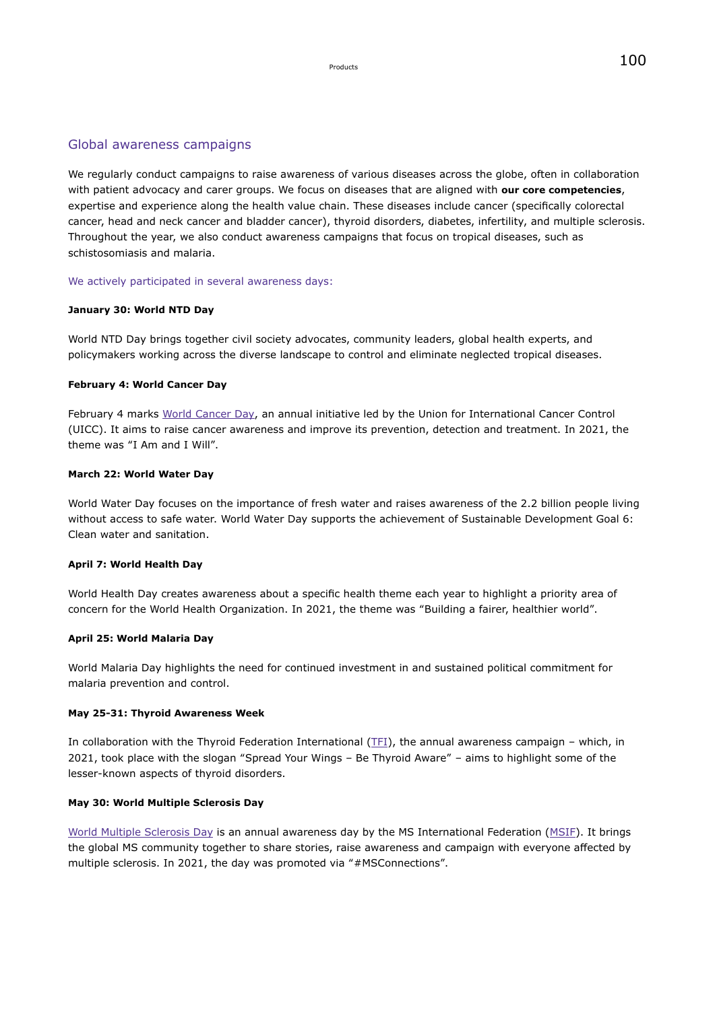#### Global awareness campaigns

We regularly conduct campaigns to raise awareness of various diseases across the globe, often in collaboration with patient advocacy and carer groups. We focus on diseases that are aligned with **our core competencies**, expertise and experience along the health value chain. These diseases include cancer (specifically colorectal cancer, head and neck cancer and bladder cancer), thyroid disorders, diabetes, infertility, and multiple sclerosis. Throughout the year, we also conduct awareness campaigns that focus on tropical diseases, such as schistosomiasis and malaria.

We actively participated in several awareness days:

#### **January 30: World NTD Day**

World NTD Day brings together civil society advocates, community leaders, global health experts, and policymakers working across the diverse landscape to control and eliminate neglected tropical diseases.

#### **February 4: World Cancer Day**

February 4 marks [World Cancer Day,](https://www.worldcancerday.org/about/2019-2021-world-cancer-day-campaign) an annual initiative led by the Union for International Cancer Control (UICC). It aims to raise cancer awareness and improve its prevention, detection and treatment. In 2021, the theme was "I Am and I Will".

#### **March 22: World Water Day**

World Water Day focuses on the importance of fresh water and raises awareness of the 2.2 billion people living without access to safe water. World Water Day supports the achievement of Sustainable Development Goal 6: Clean water and sanitation.

#### **April 7: World Health Day**

World Health Day creates awareness about a specific health theme each year to highlight a priority area of concern for the World Health Organization. In 2021, the theme was "Building a fairer, healthier world".

#### **April 25: World Malaria Day**

World Malaria Day highlights the need for continued investment in and sustained political commitment for malaria prevention and control.

#### **May 25-31: Thyroid Awareness Week**

In collaboration with the Thyroid Federation International [\(TFI\)](https://thyroid-fed.org/), the annual awareness campaign – which, in 2021, took place with the slogan "Spread Your Wings – Be Thyroid Aware" – aims to highlight some of the lesser-known aspects of thyroid disorders.

#### **May 30: World Multiple Sclerosis Day**

[World Multiple Sclerosis Day](https://worldmsday.org/) is an annual awareness day by the MS International Federation ([MSIF](https://www.msif.org/)). It brings the global MS community together to share stories, raise awareness and campaign with everyone affected by multiple sclerosis. In 2021, the day was promoted via "#MSConnections".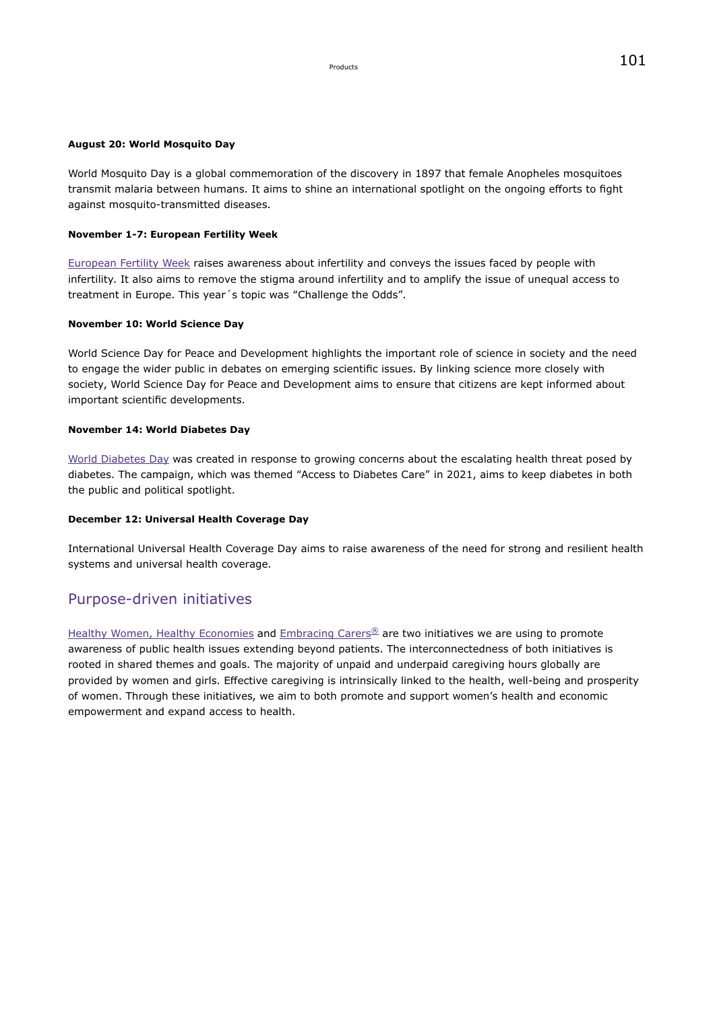#### **August 20: World Mosquito Day**

World Mosquito Day is a global commemoration of the discovery in 1897 that female Anopheles mosquitoes transmit malaria between humans. It aims to shine an international spotlight on the ongoing efforts to fight against mosquito-transmitted diseases.

#### **November 1-7: European Fertility Week**

[European Fertility Week](https://fertilityeurope.eu/efw-2021/) raises awareness about infertility and conveys the issues faced by people with infertility. It also aims to remove the stigma around infertility and to amplify the issue of unequal access to treatment in Europe. This year´s topic was "Challenge the Odds".

#### **November 10: World Science Day**

World Science Day for Peace and Development highlights the important role of science in society and the need to engage the wider public in debates on emerging scientific issues. By linking science more closely with society, World Science Day for Peace and Development aims to ensure that citizens are kept informed about important scientific developments.

#### **November 14: World Diabetes Day**

[World Diabetes Day](https://worlddiabetesday.org/) was created in response to growing concerns about the escalating health threat posed by diabetes. The campaign, which was themed "Access to Diabetes Care" in 2021, aims to keep diabetes in both the public and political spotlight.

#### **December 12: Universal Health Coverage Day**

International Universal Health Coverage Day aims to raise awareness of the need for strong and resilient health systems and universal health coverage.

#### Purpose-driven initiatives

[Healthy Women, Healthy Economies](https://www.emdgroup.com/en/company/responsibility/our-strategy/health/hwhe.html) and [Embracing Carers](https://www.embracingcarers.com/en/home.html)<sup>[®](https://www.embracingcarers.com/en/home.html)</sup> are two initiatives we are using to promote awareness of public health issues extending beyond patients. The interconnectedness of both initiatives is rooted in shared themes and goals. The majority of unpaid and underpaid caregiving hours globally are provided by women and girls. Effective caregiving is intrinsically linked to the health, well-being and prosperity of women. Through these initiatives, we aim to both promote and support women's health and economic empowerment and expand access to health.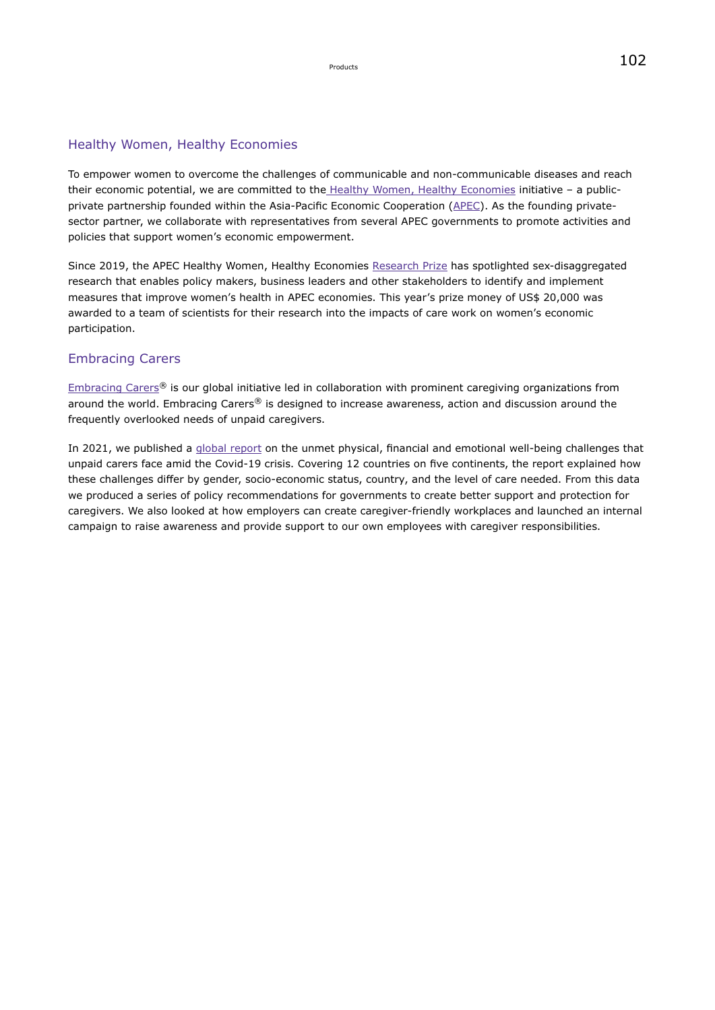#### Healthy Women, Healthy Economies

To empower women to overcome the challenges of communicable and non-communicable diseases and reach their economic potential, we are committed to the [Healthy Women, Healthy Economies](https://www.emdgroup.com/en/sustainability/health-for-all/healthy-women-healthy-economy.html) initiative - a publicprivate partnership founded within the Asia-Pacific Economic Cooperation ([APEC\)](https://www.apec.org/). As the founding privatesector partner, we collaborate with representatives from several APEC governments to promote activities and policies that support women's economic empowerment.

Since 2019, the APEC Healthy Women, Healthy Economies [Research Prize](https://www.apec.org/Press/News-Releases/2021/0928_HWHE) has spotlighted sex-disaggregated research that enables policy makers, business leaders and other stakeholders to identify and implement measures that improve women's health in APEC economies. This year's prize money of US\$ 20,000 was awarded to a team of scientists for their research into the impacts of care work on women's economic participation.

#### Embracing Carers

[Embracing Carers](http://www.embracingcarers.com/en_US/home.html)® is our global initiative led in collaboration with prominent caregiving organizations from around the world. Embracing Carers<sup>®</sup> is designed to increase awareness, action and discussion around the frequently overlooked needs of unpaid caregivers.

In 2021, we published a [global report](https://www.embracingcarers.com/en/home/carerfacts/carer-well-being-index.html) on the unmet physical, financial and emotional well-being challenges that unpaid carers face amid the Covid-19 crisis. Covering 12 countries on five continents, the report explained how these challenges differ by gender, socio-economic status, country, and the level of care needed. From this data we produced a series of policy recommendations for governments to create better support and protection for caregivers. We also looked at how employers can create caregiver-friendly workplaces and launched an internal campaign to raise awareness and provide support to our own employees with caregiver responsibilities.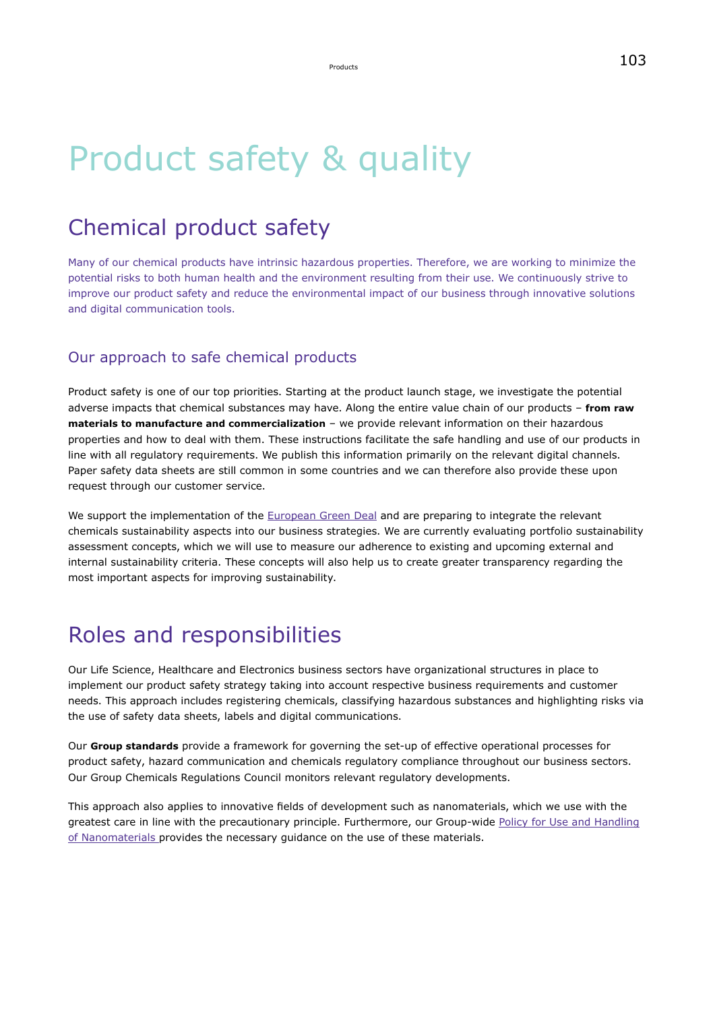# Product safety & quality

# Chemical product safety

Many of our chemical products have intrinsic hazardous properties. Therefore, we are working to minimize the potential risks to both human health and the environment resulting from their use. We continuously strive to improve our product safety and reduce the environmental impact of our business through innovative solutions and digital communication tools.

### Our approach to safe chemical products

Product safety is one of our top priorities. Starting at the product launch stage, we investigate the potential adverse impacts that chemical substances may have. Along the entire value chain of our products – **from raw materials to manufacture and commercialization** – we provide relevant information on their hazardous properties and how to deal with them. These instructions facilitate the safe handling and use of our products in line with all regulatory requirements. We publish this information primarily on the relevant digital channels. Paper safety data sheets are still common in some countries and we can therefore also provide these upon request through our customer service.

We support the implementation of the [European Green Deal](https://ec.europa.eu/info/strategy/priorities-2019-2024/european-green-deal_en) and are preparing to integrate the relevant chemicals sustainability aspects into our business strategies. We are currently evaluating portfolio sustainability assessment concepts, which we will use to measure our adherence to existing and upcoming external and internal sustainability criteria. These concepts will also help us to create greater transparency regarding the most important aspects for improving sustainability.

# Roles and responsibilities

Our Life Science, Healthcare and Electronics business sectors have organizational structures in place to implement our product safety strategy taking into account respective business requirements and customer needs. This approach includes registering chemicals, classifying hazardous substances and highlighting risks via the use of safety data sheets, labels and digital communications.

Our **Group standards** provide a framework for governing the set-up of effective operational processes for product safety, hazard communication and chemicals regulatory compliance throughout our business sectors. Our Group Chemicals Regulations Council monitors relevant regulatory developments.

This approach also applies to innovative fields of development such as nanomaterials, which we use with the greatest care in line with the precautionary principle. Furthermore, our Group-wide [Policy for Use and Handling](https://www.emdgroup.com/content/dam/web/corporate/non-images/company/responsibility/us/regulations-and-guidelines/nanomaterials_EMD.pdf) [of Nanomaterials](https://www.emdgroup.com/content/dam/web/corporate/non-images/company/responsibility/us/regulations-and-guidelines/nanomaterials_EMD.pdf) provides the necessary guidance on the use of these materials.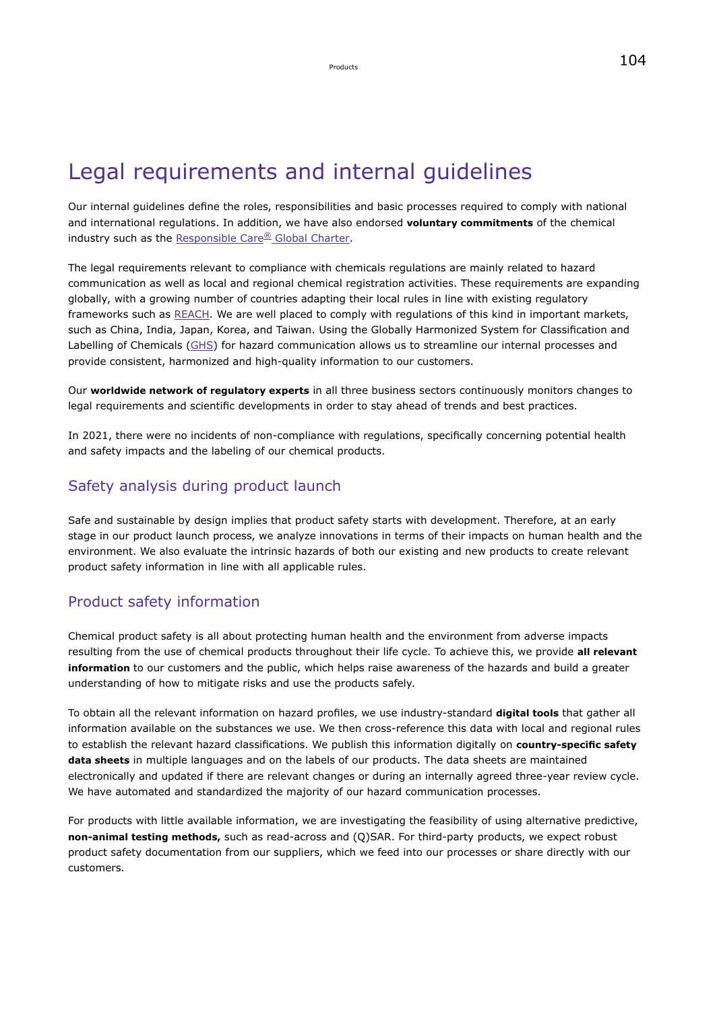# Legal requirements and internal guidelines

Our internal guidelines define the roles, responsibilities and basic processes required to comply with national and international regulations. In addition, we have also endorsed **voluntary commitments** of the chemical industry such as the [Responsible Care](https://www.vci.de/english-documents/listenseite.jsp)[®](https://www.vci.de/english-documents/listenseite.jsp) Global Charter.

The legal requirements relevant to compliance with chemicals regulations are mainly related to hazard communication as well as local and regional chemical registration activities. These requirements are expanding globally, with a growing number of countries adapting their local rules in line with existing regulatory frameworks such as [REACH](https://echa.europa.eu/en/regulations/reach/understanding-reach). We are well placed to comply with regulations of this kind in important markets, such as China, India, Japan, Korea, and Taiwan. Using the Globally Harmonized System for Classification and Labelling of Chemicals ([GHS\)](https://unece.org/fileadmin/DAM/trans/danger/publi/ghs/ghs_rev04/English/ST-SG-AC10-30-Rev4e.pdf) for hazard communication allows us to streamline our internal processes and provide consistent, harmonized and high-quality information to our customers.

Our **worldwide network of regulatory experts** in all three business sectors continuously monitors changes to legal requirements and scientific developments in order to stay ahead of trends and best practices.

In 2021, there were no incidents of non-compliance with regulations, specifically concerning potential health and safety impacts and the labeling of our chemical products.

### Safety analysis during product launch

Safe and sustainable by design implies that product safety starts with development. Therefore, at an early stage in our product launch process, we analyze innovations in terms of their impacts on human health and the environment. We also evaluate the intrinsic hazards of both our existing and new products to create relevant product safety information in line with all applicable rules.

# Product safety information

Chemical product safety is all about protecting human health and the environment from adverse impacts resulting from the use of chemical products throughout their life cycle. To achieve this, we provide **all relevant information** to our customers and the public, which helps raise awareness of the hazards and build a greater understanding of how to mitigate risks and use the products safely.

To obtain all the relevant information on hazard profiles, we use industry-standard **digital tools** that gather all information available on the substances we use. We then cross-reference this data with local and regional rules to establish the relevant hazard classifications. We publish this information digitally on **country-specific safety data sheets** in multiple languages and on the labels of our products. The data sheets are maintained electronically and updated if there are relevant changes or during an internally agreed three-year review cycle. We have automated and standardized the majority of our hazard communication processes.

For products with little available information, we are investigating the feasibility of using alternative predictive, **non-animal testing methods,** such as read-across and (Q)SAR. For third-party products, we expect robust product safety documentation from our suppliers, which we feed into our processes or share directly with our customers.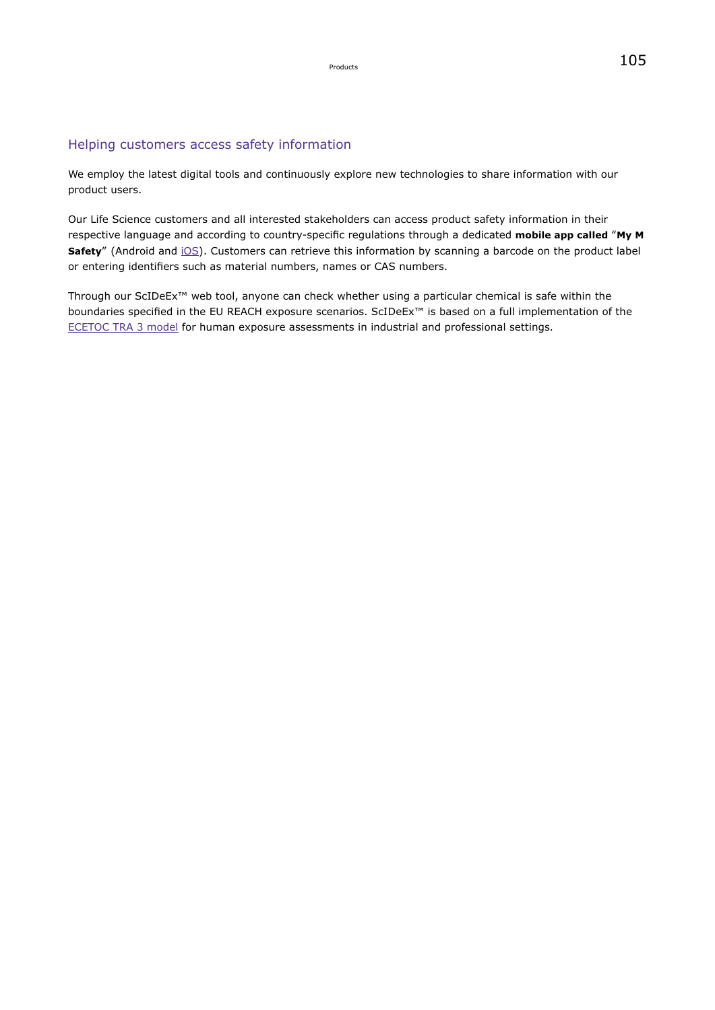#### <span id="page-35-0"></span>Helping customers access safety information

We employ the latest digital tools and continuously explore new technologies to share information with our product users.

Our Life Science customers and all interested stakeholders can access product safety information in their respective language and according to country-specific regulations through a dedicated **mobile app called** "**My M Safety**" (Android and *iOS*). Customers can retrieve this information by scanning a barcode on the product label or entering identifiers such as material numbers, names or CAS numbers.

Through our ScIDeEx™ web tool, anyone can check whether using a particular chemical is safe within the boundaries specified in the EU REACH exposure scenarios. ScIDeEx™ is based on a full implementation of the [ECETOC TRA 3 model](https://www.ecetoc.org/tools/targeted-risk-assessment-tra/) for human exposure assessments in industrial and professional settings.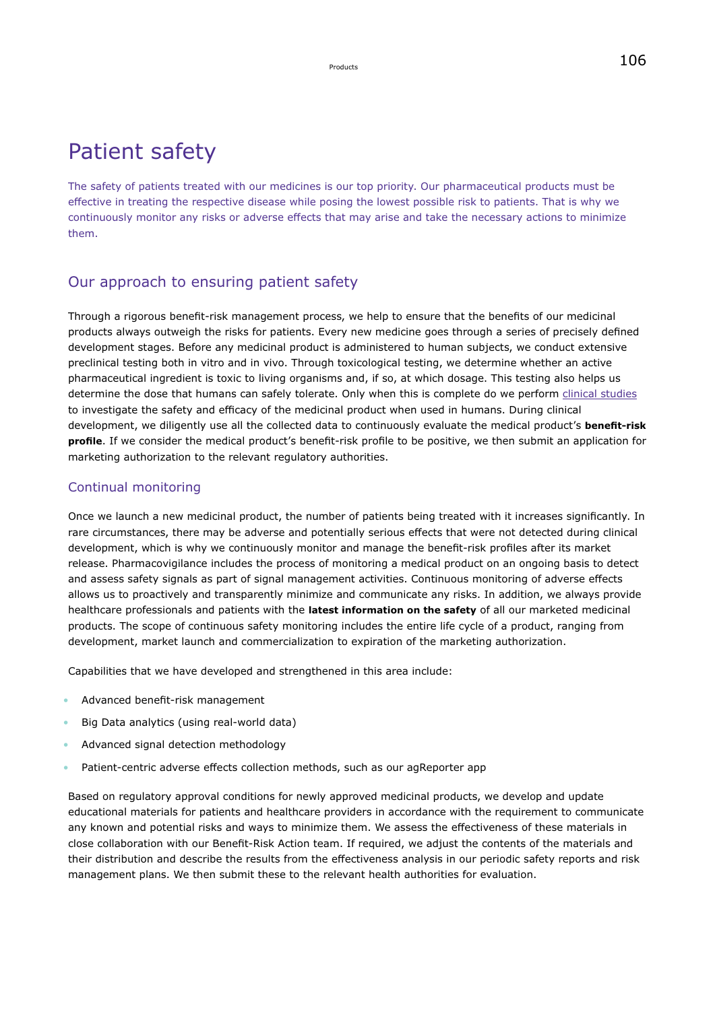# Patient safety

The safety of patients treated with our medicines is our top priority. Our pharmaceutical products must be effective in treating the respective disease while posing the lowest possible risk to patients. That is why we continuously monitor any risks or adverse effects that may arise and take the necessary actions to minimize them.

### Our approach to ensuring patient safety

Through a rigorous benefit-risk management process, we help to ensure that the benefits of our medicinal products always outweigh the risks for patients. Every new medicine goes through a series of precisely defined development stages. Before any medicinal product is administered to human subjects, we conduct extensive preclinical testing both in vitro and in vivo. Through toxicological testing, we determine whether an active pharmaceutical ingredient is toxic to living organisms and, if so, at which dosage. This testing also helps us determine the dose that humans can safely tolerate. Only when this is complete do we perform [clinical studies](#page-53-0) to investigate the safety and efficacy of the medicinal product when used in humans. During clinical development, we diligently use all the collected data to continuously evaluate the medical product's **benefit-risk profile**. If we consider the medical product's benefit-risk profile to be positive, we then submit an application for marketing authorization to the relevant regulatory authorities.

#### Continual monitoring

Once we launch a new medicinal product, the number of patients being treated with it increases significantly. In rare circumstances, there may be adverse and potentially serious effects that were not detected during clinical development, which is why we continuously monitor and manage the benefit-risk profiles after its market release. Pharmacovigilance includes the process of monitoring a medical product on an ongoing basis to detect and assess safety signals as part of signal management activities. Continuous monitoring of adverse effects allows us to proactively and transparently minimize and communicate any risks. In addition, we always provide healthcare professionals and patients with the **latest information on the safety** of all our marketed medicinal products. The scope of continuous safety monitoring includes the entire life cycle of a product, ranging from development, market launch and commercialization to expiration of the marketing authorization.

Capabilities that we have developed and strengthened in this area include:

- Advanced benefit-risk management
- Big Data analytics (using real-world data)
- Advanced signal detection methodology
- Patient-centric adverse effects collection methods, such as our agReporter app

Based on regulatory approval conditions for newly approved medicinal products, we develop and update educational materials for patients and healthcare providers in accordance with the requirement to communicate any known and potential risks and ways to minimize them. We assess the effectiveness of these materials in close collaboration with our Benefit-Risk Action team. If required, we adjust the contents of the materials and their distribution and describe the results from the effectiveness analysis in our periodic safety reports and risk management plans. We then submit these to the relevant health authorities for evaluation.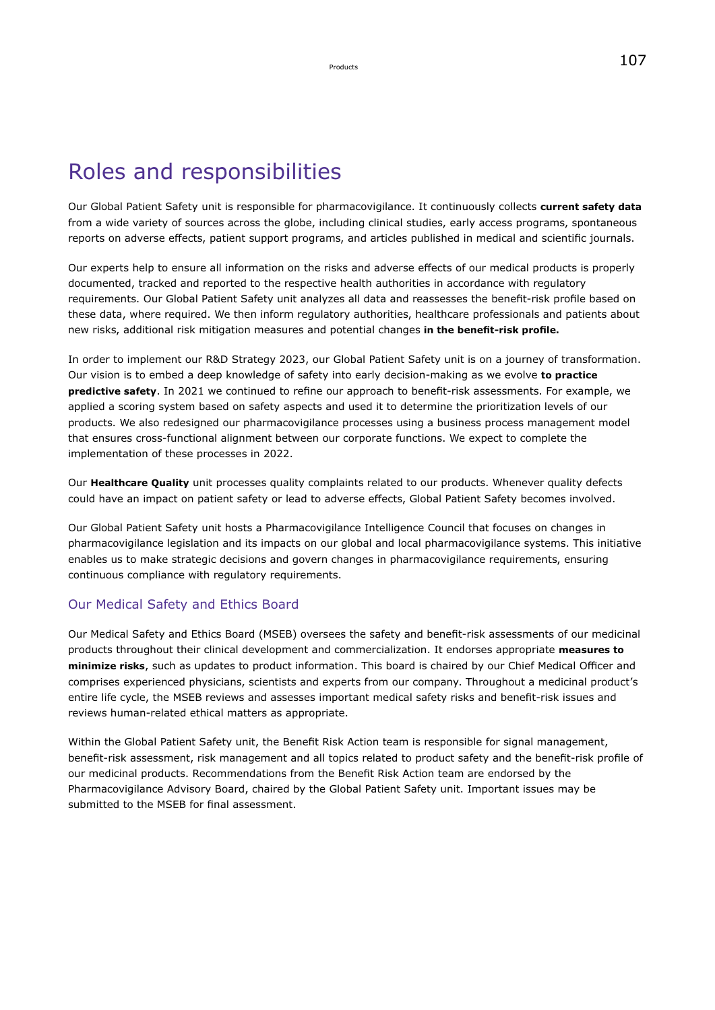# Roles and responsibilities

Our Global Patient Safety unit is responsible for pharmacovigilance. It continuously collects **current safety data** from a wide variety of sources across the globe, including clinical studies, early access programs, spontaneous reports on adverse effects, patient support programs, and articles published in medical and scientific journals.

Our experts help to ensure all information on the risks and adverse effects of our medical products is properly documented, tracked and reported to the respective health authorities in accordance with regulatory requirements. Our Global Patient Safety unit analyzes all data and reassesses the benefit-risk profile based on these data, where required. We then inform regulatory authorities, healthcare professionals and patients about new risks, additional risk mitigation measures and potential changes **in the benefit-risk profile.**

In order to implement our R&D Strategy 2023, our Global Patient Safety unit is on a journey of transformation. Our vision is to embed a deep knowledge of safety into early decision-making as we evolve **to practice predictive safety**. In 2021 we continued to refine our approach to benefit-risk assessments. For example, we applied a scoring system based on safety aspects and used it to determine the prioritization levels of our products. We also redesigned our pharmacovigilance processes using a business process management model that ensures cross-functional alignment between our corporate functions. We expect to complete the implementation of these processes in 2022.

Our **Healthcare Quality** unit processes quality complaints related to our products. Whenever quality defects could have an impact on patient safety or lead to adverse effects, Global Patient Safety becomes involved.

Our Global Patient Safety unit hosts a Pharmacovigilance Intelligence Council that focuses on changes in pharmacovigilance legislation and its impacts on our global and local pharmacovigilance systems. This initiative enables us to make strategic decisions and govern changes in pharmacovigilance requirements, ensuring continuous compliance with regulatory requirements.

#### Our Medical Safety and Ethics Board

Our Medical Safety and Ethics Board (MSEB) oversees the safety and benefit-risk assessments of our medicinal products throughout their clinical development and commercialization. It endorses appropriate **measures to minimize risks**, such as updates to product information. This board is chaired by our Chief Medical Officer and comprises experienced physicians, scientists and experts from our company. Throughout a medicinal product's entire life cycle, the MSEB reviews and assesses important medical safety risks and benefit-risk issues and reviews human-related ethical matters as appropriate.

Within the Global Patient Safety unit, the Benefit Risk Action team is responsible for signal management, benefit-risk assessment, risk management and all topics related to product safety and the benefit-risk profile of our medicinal products. Recommendations from the Benefit Risk Action team are endorsed by the Pharmacovigilance Advisory Board, chaired by the Global Patient Safety unit. Important issues may be submitted to the MSEB for final assessment.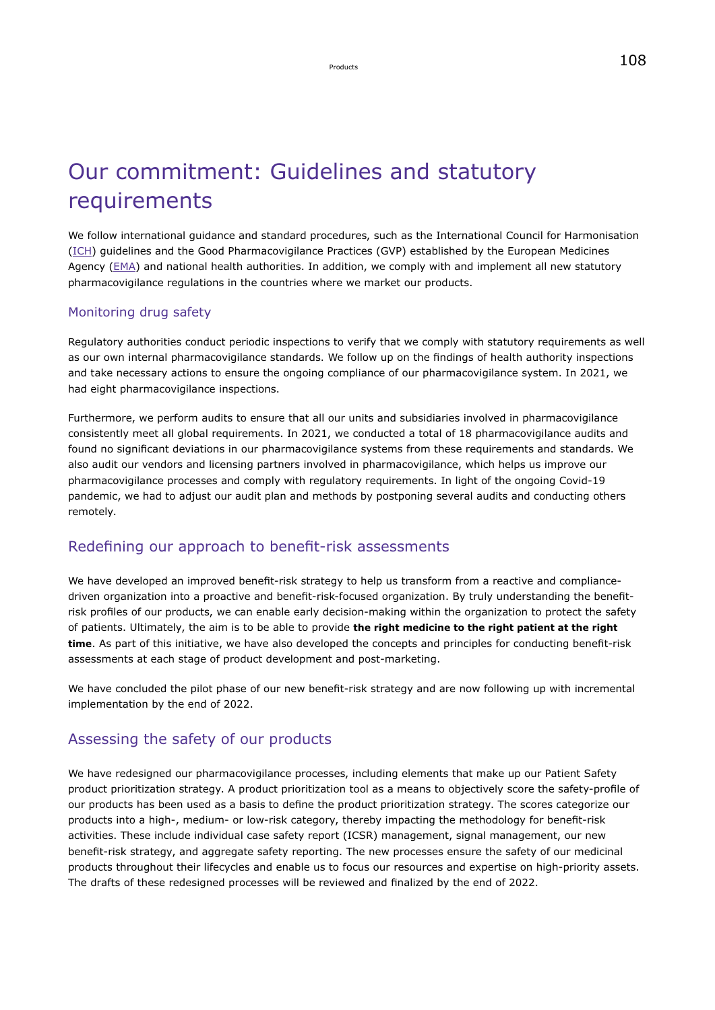# Our commitment: Guidelines and statutory requirements

We follow international guidance and standard procedures, such as the International Council for Harmonisation ([ICH](https://www.ich.org/)) guidelines and the Good Pharmacovigilance Practices (GVP) established by the European Medicines Agency ([EMA\)](https://www.ema.europa.eu/en) and national health authorities. In addition, we comply with and implement all new statutory pharmacovigilance regulations in the countries where we market our products.

#### Monitoring drug safety

Regulatory authorities conduct periodic inspections to verify that we comply with statutory requirements as well as our own internal pharmacovigilance standards. We follow up on the findings of health authority inspections and take necessary actions to ensure the ongoing compliance of our pharmacovigilance system. In 2021, we had eight pharmacovigilance inspections.

Furthermore, we perform audits to ensure that all our units and subsidiaries involved in pharmacovigilance consistently meet all global requirements. In 2021, we conducted a total of 18 pharmacovigilance audits and found no significant deviations in our pharmacovigilance systems from these requirements and standards. We also audit our vendors and licensing partners involved in pharmacovigilance, which helps us improve our pharmacovigilance processes and comply with regulatory requirements. In light of the ongoing Covid-19 pandemic, we had to adjust our audit plan and methods by postponing several audits and conducting others remotely.

## Redefining our approach to benefit-risk assessments

We have developed an improved benefit-risk strategy to help us transform from a reactive and compliancedriven organization into a proactive and benefit-risk-focused organization. By truly understanding the benefitrisk profiles of our products, we can enable early decision-making within the organization to protect the safety of patients. Ultimately, the aim is to be able to provide **the right medicine to the right patient at the right time**. As part of this initiative, we have also developed the concepts and principles for conducting benefit-risk assessments at each stage of product development and post-marketing.

We have concluded the pilot phase of our new benefit-risk strategy and are now following up with incremental implementation by the end of 2022.

## Assessing the safety of our products

We have redesigned our pharmacovigilance processes, including elements that make up our Patient Safety product prioritization strategy. A product prioritization tool as a means to objectively score the safety-profile of our products has been used as a basis to define the product prioritization strategy. The scores categorize our products into a high-, medium- or low-risk category, thereby impacting the methodology for benefit-risk activities. These include individual case safety report (ICSR) management, signal management, our new benefit-risk strategy, and aggregate safety reporting. The new processes ensure the safety of our medicinal products throughout their lifecycles and enable us to focus our resources and expertise on high-priority assets. The drafts of these redesigned processes will be reviewed and finalized by the end of 2022.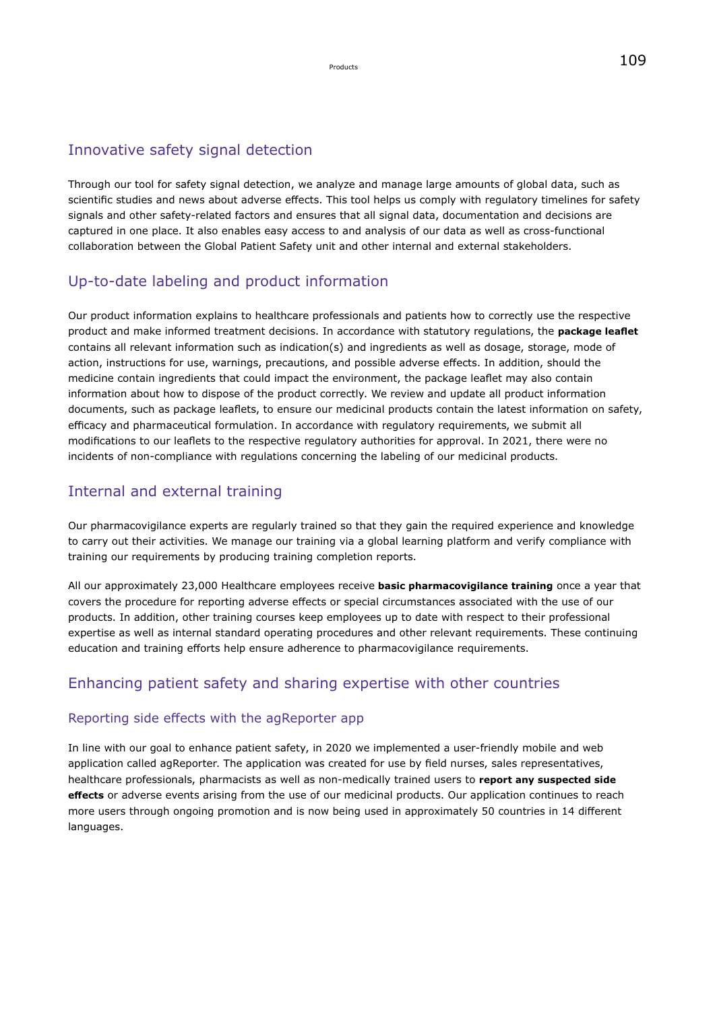## Innovative safety signal detection

Through our tool for safety signal detection, we analyze and manage large amounts of global data, such as scientific studies and news about adverse effects. This tool helps us comply with regulatory timelines for safety signals and other safety-related factors and ensures that all signal data, documentation and decisions are captured in one place. It also enables easy access to and analysis of our data as well as cross-functional collaboration between the Global Patient Safety unit and other internal and external stakeholders.

## Up-to-date labeling and product information

Our product information explains to healthcare professionals and patients how to correctly use the respective product and make informed treatment decisions. In accordance with statutory regulations, the **package leaflet** contains all relevant information such as indication(s) and ingredients as well as dosage, storage, mode of action, instructions for use, warnings, precautions, and possible adverse effects. In addition, should the medicine contain ingredients that could impact the environment, the package leaflet may also contain information about how to dispose of the product correctly. We review and update all product information documents, such as package leaflets, to ensure our medicinal products contain the latest information on safety, efficacy and pharmaceutical formulation. In accordance with regulatory requirements, we submit all modifications to our leaflets to the respective regulatory authorities for approval. In 2021, there were no incidents of non-compliance with regulations concerning the labeling of our medicinal products.

# Internal and external training

Our pharmacovigilance experts are regularly trained so that they gain the required experience and knowledge to carry out their activities. We manage our training via a global learning platform and verify compliance with training our requirements by producing training completion reports.

All our approximately 23,000 Healthcare employees receive **basic pharmacovigilance training** once a year that covers the procedure for reporting adverse effects or special circumstances associated with the use of our products. In addition, other training courses keep employees up to date with respect to their professional expertise as well as internal standard operating procedures and other relevant requirements. These continuing education and training efforts help ensure adherence to pharmacovigilance requirements.

# Enhancing patient safety and sharing expertise with other countries

#### Reporting side effects with the agReporter app

In line with our goal to enhance patient safety, in 2020 we implemented a user-friendly mobile and web application called agReporter. The application was created for use by field nurses, sales representatives, healthcare professionals, pharmacists as well as non-medically trained users to **report any suspected side effects** or adverse events arising from the use of our medicinal products. Our application continues to reach more users through ongoing promotion and is now being used in approximately 50 countries in 14 different languages.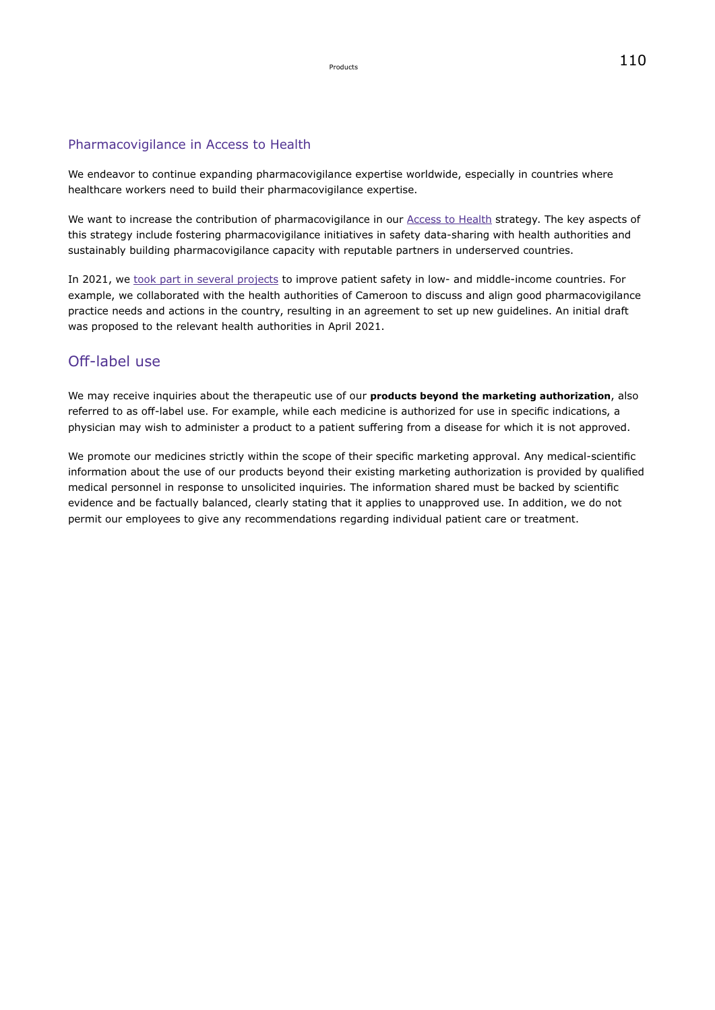#### Pharmacovigilance in Access to Health

We endeavor to continue expanding pharmacovigilance expertise worldwide, especially in countries where healthcare workers need to build their pharmacovigilance expertise.

We want to increase the contribution of pharmacovigilance in our [Access to Health](#page-85-1) strategy. The key aspects of this strategy include fostering pharmacovigilance initiatives in safety data-sharing with health authorities and sustainably building pharmacovigilance capacity with reputable partners in underserved countries.

In 2021, we [took part in several projects](#page-96-0) to improve patient safety in low- and middle-income countries. For example, we collaborated with the health authorities of Cameroon to discuss and align good pharmacovigilance practice needs and actions in the country, resulting in an agreement to set up new guidelines. An initial draft was proposed to the relevant health authorities in April 2021.

### Off-label use

We may receive inquiries about the therapeutic use of our **products beyond the marketing authorization**, also referred to as off-label use. For example, while each medicine is authorized for use in specific indications, a physician may wish to administer a product to a patient suffering from a disease for which it is not approved.

We promote our medicines strictly within the scope of their specific marketing approval. Any medical-scientific information about the use of our products beyond their existing marketing authorization is provided by qualified medical personnel in response to unsolicited inquiries. The information shared must be backed by scientific evidence and be factually balanced, clearly stating that it applies to unapproved use. In addition, we do not permit our employees to give any recommendations regarding individual patient care or treatment.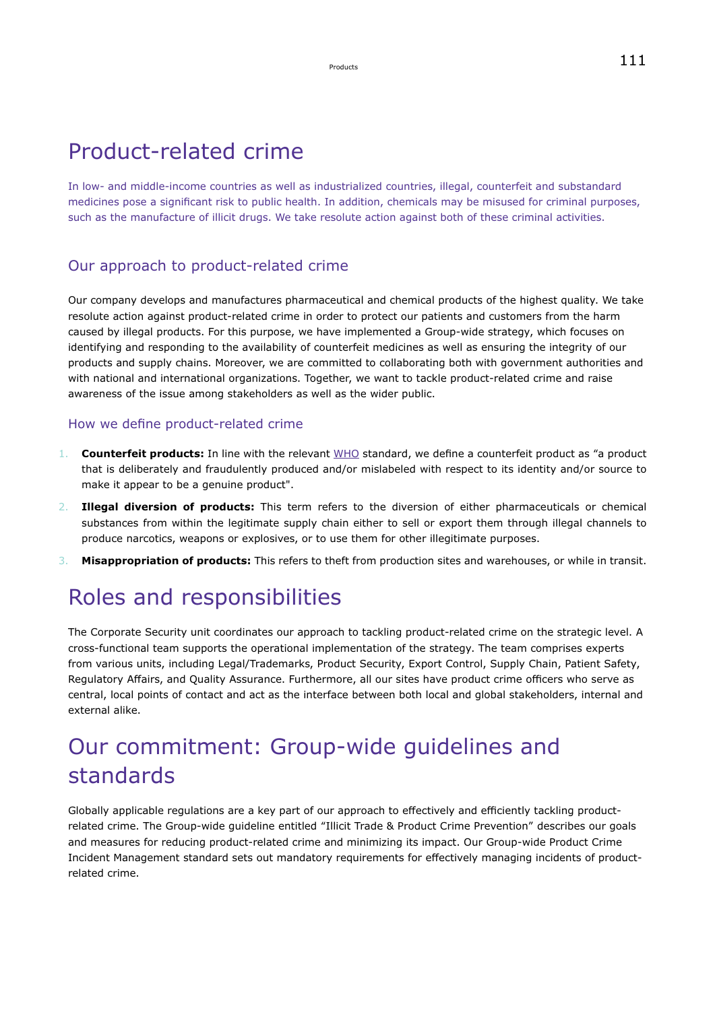# Product-related crime

In low- and middle-income countries as well as industrialized countries, illegal, counterfeit and substandard medicines pose a significant risk to public health. In addition, chemicals may be misused for criminal purposes, such as the manufacture of illicit drugs. We take resolute action against both of these criminal activities.

## Our approach to product-related crime

Our company develops and manufactures pharmaceutical and chemical products of the highest quality. We take resolute action against product-related crime in order to protect our patients and customers from the harm caused by illegal products. For this purpose, we have implemented a Group-wide strategy, which focuses on identifying and responding to the availability of counterfeit medicines as well as ensuring the integrity of our products and supply chains. Moreover, we are committed to collaborating both with government authorities and with national and international organizations. Together, we want to tackle product-related crime and raise awareness of the issue among stakeholders as well as the wider public.

#### How we define product-related crime

- 1. **Counterfeit products:** In line with the relevant [WHO](https://www.who.int/en/) standard, we define a counterfeit product as "a product that is deliberately and fraudulently produced and/or mislabeled with respect to its identity and/or source to make it appear to be a genuine product".
- 2. **Illegal diversion of products:** This term refers to the diversion of either pharmaceuticals or chemical substances from within the legitimate supply chain either to sell or export them through illegal channels to produce narcotics, weapons or explosives, or to use them for other illegitimate purposes.
- 3. **Misappropriation of products:** This refers to theft from production sites and warehouses, or while in transit.

# Roles and responsibilities

The Corporate Security unit coordinates our approach to tackling product-related crime on the strategic level. A cross-functional team supports the operational implementation of the strategy. The team comprises experts from various units, including Legal/Trademarks, Product Security, Export Control, Supply Chain, Patient Safety, Regulatory Affairs, and Quality Assurance. Furthermore, all our sites have product crime officers who serve as central, local points of contact and act as the interface between both local and global stakeholders, internal and external alike.

# Our commitment: Group-wide guidelines and standards

Globally applicable regulations are a key part of our approach to effectively and efficiently tackling productrelated crime. The Group-wide guideline entitled "Illicit Trade & Product Crime Prevention" describes our goals and measures for reducing product-related crime and minimizing its impact. Our Group-wide Product Crime Incident Management standard sets out mandatory requirements for effectively managing incidents of productrelated crime.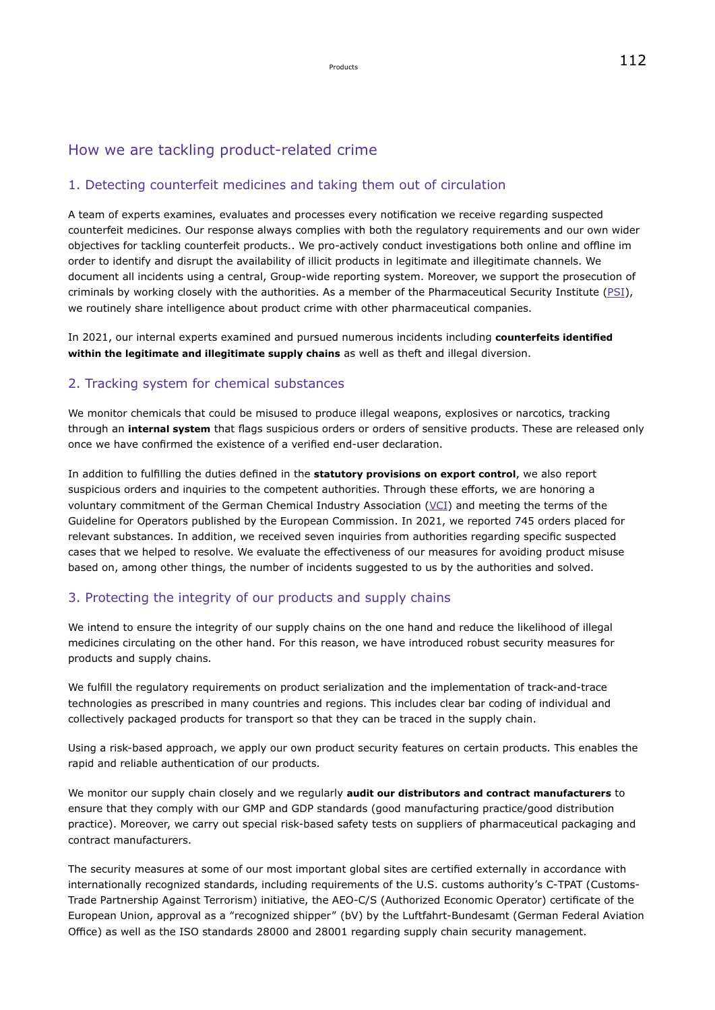## How we are tackling product-related crime

#### 1. Detecting counterfeit medicines and taking them out of circulation

A team of experts examines, evaluates and processes every notification we receive regarding suspected counterfeit medicines. Our response always complies with both the regulatory requirements and our own wider objectives for tackling counterfeit products.. We pro-actively conduct investigations both online and offline im order to identify and disrupt the availability of illicit products in legitimate and illegitimate channels. We document all incidents using a central, Group-wide reporting system. Moreover, we support the prosecution of criminals by working closely with the authorities. As a member of the Pharmaceutical Security Institute ([PSI](https://www.psi-inc.org/)), we routinely share intelligence about product crime with other pharmaceutical companies.

In 2021, our internal experts examined and pursued numerous incidents including **counterfeits identified within the legitimate and illegitimate supply chains** as well as theft and illegal diversion.

#### 2. Tracking system for chemical substances

We monitor chemicals that could be misused to produce illegal weapons, explosives or narcotics, tracking through an **internal system** that flags suspicious orders or orders of sensitive products. These are released only once we have confirmed the existence of a verified end-user declaration.

In addition to fulfilling the duties defined in the **statutory provisions on export control**, we also report suspicious orders and inquiries to the competent authorities. Through these efforts, we are honoring a voluntary commitment of the German Chemical Industry Association  $(VCI)$  $(VCI)$  and meeting the terms of the Guideline for Operators published by the European Commission. In 2021, we reported 745 orders placed for relevant substances. In addition, we received seven inquiries from authorities regarding specific suspected cases that we helped to resolve. We evaluate the effectiveness of our measures for avoiding product misuse based on, among other things, the number of incidents suggested to us by the authorities and solved.

#### 3. Protecting the integrity of our products and supply chains

We intend to ensure the integrity of our supply chains on the one hand and reduce the likelihood of illegal medicines circulating on the other hand. For this reason, we have introduced robust security measures for products and supply chains.

We fulfill the regulatory requirements on product serialization and the implementation of track-and-trace technologies as prescribed in many countries and regions. This includes clear bar coding of individual and collectively packaged products for transport so that they can be traced in the supply chain.

Using a risk-based approach, we apply our own product security features on certain products. This enables the rapid and reliable authentication of our products.

We monitor our supply chain closely and we regularly **audit our distributors and contract manufacturers** to ensure that they comply with our GMP and GDP standards (good manufacturing practice/good distribution practice). Moreover, we carry out special risk-based safety tests on suppliers of pharmaceutical packaging and contract manufacturers.

The security measures at some of our most important global sites are certified externally in accordance with internationally recognized standards, including requirements of the U.S. customs authority's C-TPAT (Customs-Trade Partnership Against Terrorism) initiative, the AEO-C/S (Authorized Economic Operator) certificate of the European Union, approval as a "recognized shipper" (bV) by the Luftfahrt-Bundesamt (German Federal Aviation Office) as well as the ISO standards 28000 and 28001 regarding supply chain security management.